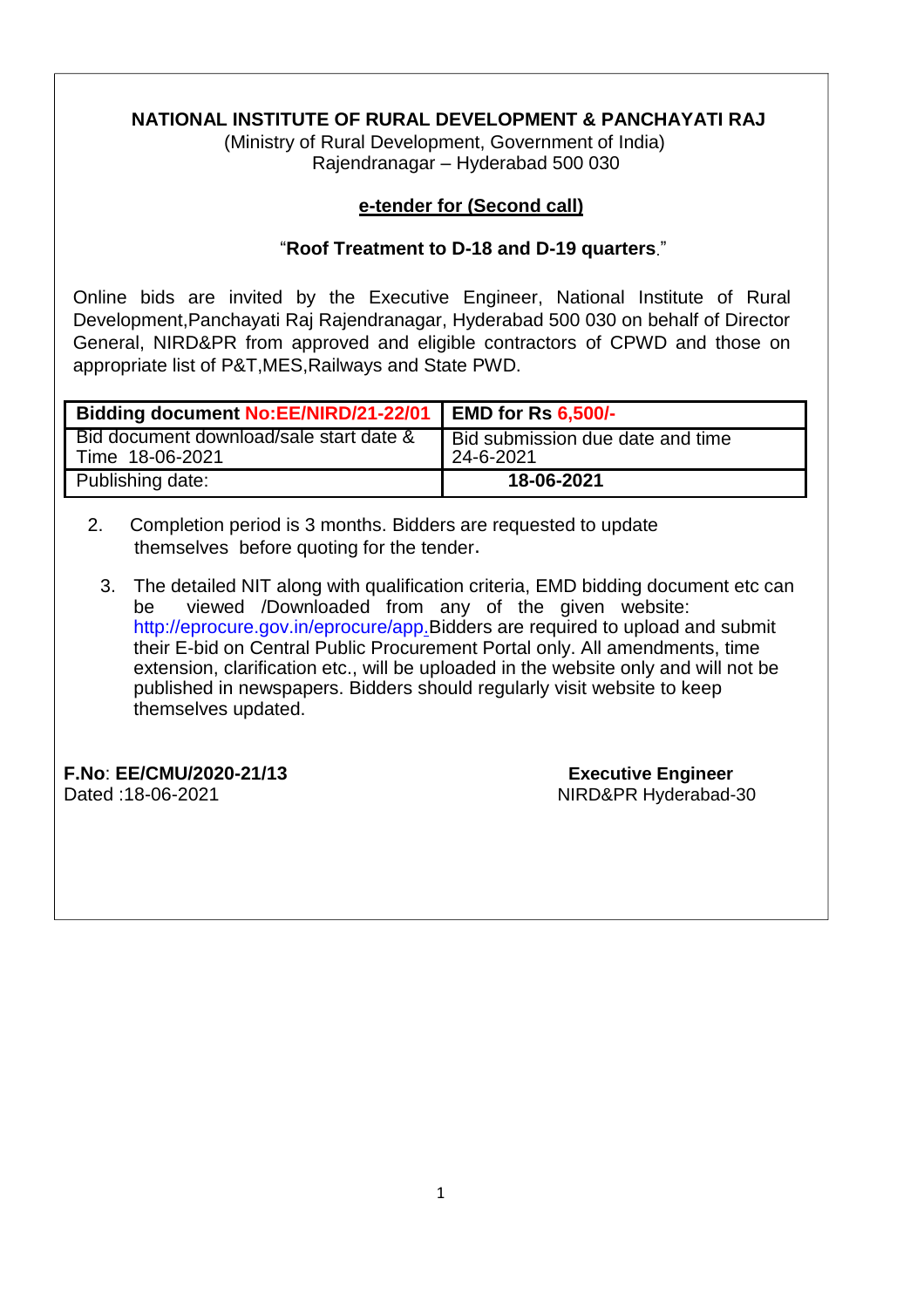## **NATIONAL INSTITUTE OF RURAL DEVELOPMENT & PANCHAYATI RAJ**

(Ministry of Rural Development, Government of India) Rajendranagar – Hyderabad 500 030

## **e-tender for (Second call)**

## "**Roof Treatment to D-18 and D-19 quarters**."

Online bids are invited by the Executive Engineer, National Institute of Rural Development,Panchayati Raj Rajendranagar, Hyderabad 500 030 on behalf of Director General, NIRD&PR from approved and eligible contractors of CPWD and those on appropriate list of P&T,MES,Railways and State PWD.

| <b>Bidding document No:EE/NIRD/21-22/01</b>                | <b>EMD for Rs 6,500/-</b>                     |
|------------------------------------------------------------|-----------------------------------------------|
| Bid document download/sale start date &<br>Time 18-06-2021 | Bid submission due date and time<br>24-6-2021 |
| Publishing date:                                           | 18-06-2021                                    |

- 2. Completion period is 3 months. Bidders are requested to update themselves before quoting for the tender.
	- 3. The detailed NIT along with qualification criteria, EMD bidding document etc can be viewed /Downloaded from any of the given website: <http://eprocure.gov.in/eprocure/app.Bidders> are required to upload and submit their E-bid on Central Public Procurement Portal only. All amendments, time extension, clarification etc., will be uploaded in the website only and will not be published in newspapers. Bidders should regularly visit website to keep themselves updated.

**F.No**: **EE/CMU/2020-21/13 Executive Engineer** Dated :18-06-2021 MIRD&PR Hyderabad-30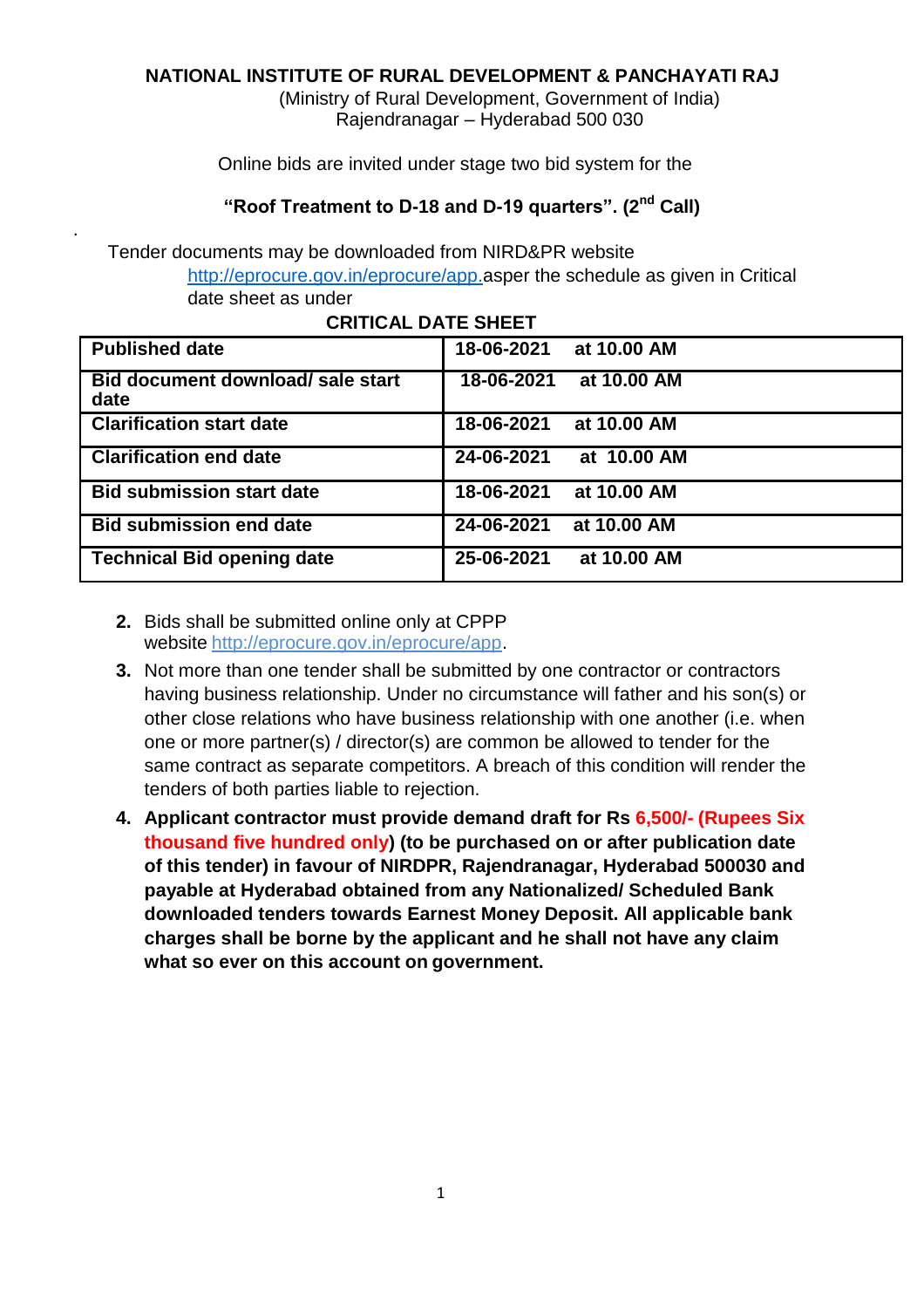## **NATIONAL INSTITUTE OF RURAL DEVELOPMENT & PANCHAYATI RAJ**

(Ministry of Rural Development, Government of India) Rajendranagar – Hyderabad 500 030

Online bids are invited under stage two bid system for the

## **"Roof Treatment to D-18 and D-19 quarters". (2nd Call)**

Tender documents may be downloaded from NIRD&PR website [http://eprocure.gov.in/eprocure/app.a](http://eprocure.gov.in/eprocure/app)sper the schedule as given in Critical date sheet as under

| <b>Published date</b>                     | 18-06-2021 | at 10.00 AM |
|-------------------------------------------|------------|-------------|
| Bid document download/ sale start<br>date | 18-06-2021 | at 10.00 AM |
| <b>Clarification start date</b>           | 18-06-2021 | at 10.00 AM |
| <b>Clarification end date</b>             | 24-06-2021 | at 10.00 AM |
| <b>Bid submission start date</b>          | 18-06-2021 | at 10.00 AM |
| <b>Bid submission end date</b>            | 24-06-2021 | at 10.00 AM |
| <b>Technical Bid opening date</b>         | 25-06-2021 | at 10.00 AM |

#### **CRITICAL DATE SHEET**

**2.** Bids shall be submitted online only at CPPP website [http://eprocure.gov.in/eprocure/app.](http://eprocure.gov.in/eprocure/app)

.

- **3.** Not more than one tender shall be submitted by one contractor or contractors having business relationship. Under no circumstance will father and his son(s) or other close relations who have business relationship with one another (i.e. when one or more partner(s) / director(s) are common be allowed to tender for the same contract as separate competitors. A breach of this condition will render the tenders of both parties liable to rejection.
- **4. Applicant contractor must provide demand draft for Rs 6,500/- (Rupees Six thousand five hundred only) (to be purchased on or after publication date of this tender) in favour of NIRDPR, Rajendranagar, Hyderabad 500030 and payable at Hyderabad obtained from any Nationalized/ Scheduled Bank downloaded tenders towards Earnest Money Deposit. All applicable bank charges shall be borne by the applicant and he shall not have any claim what so ever on this account on government.**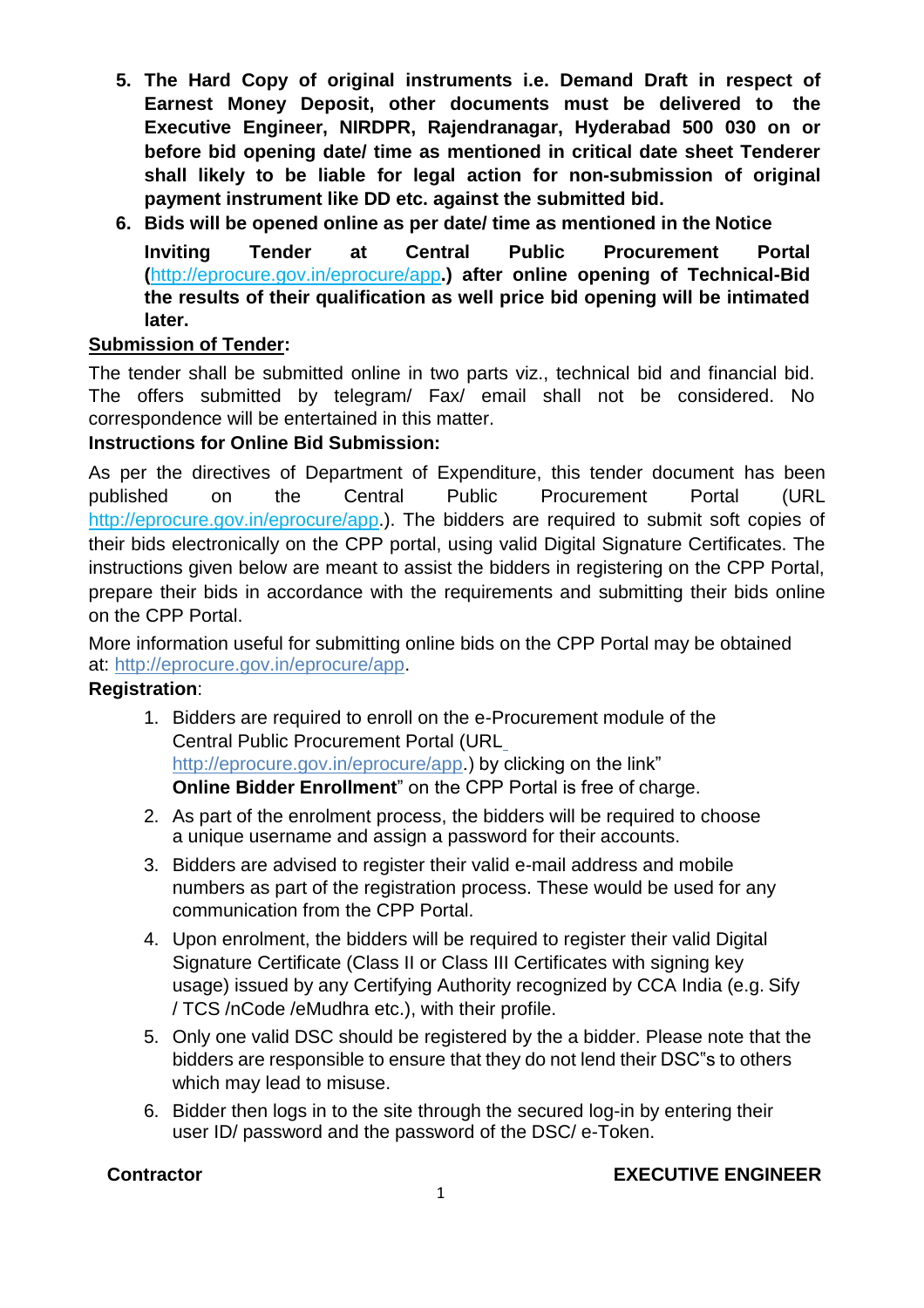- **5. The Hard Copy of original instruments i.e. Demand Draft in respect of Earnest Money Deposit, other documents must be delivered to the Executive Engineer, NIRDPR, Rajendranagar, Hyderabad 500 030 on or before bid opening date/ time as mentioned in critical date sheet Tenderer shall likely to be liable for legal action for non-submission of original payment instrument like DD etc. against the submitted bid.**
- **6. Bids will be opened online as per date/ time as mentioned in the Notice Inviting Tender at Central Public Procurement Portal (**<http://eprocure.gov.in/eprocure/app>**.) after online opening of Technical-Bid the results of their qualification as well price bid opening will be intimated later.**

## **Submission of Tender:**

The tender shall be submitted online in two parts viz., technical bid and financial bid. The offers submitted by telegram/ Fax/ email shall not be considered. No correspondence will be entertained in this matter.

## **Instructions for Online Bid Submission:**

As per the directives of Department of Expenditure, this tender document has been published on the Central Public Procurement Portal (URL <http://eprocure.gov.in/eprocure/app>.). The bidders are required to submit soft copies of their bids electronically on the CPP portal, using valid Digital Signature Certificates. The instructions given below are meant to assist the bidders in registering on the CPP Portal, prepare their bids in accordance with the requirements and submitting their bids online on the CPP Portal.

More information useful for submitting online bids on the CPP Portal may be obtained at: [http://eprocure.gov.in/eprocure/app.](http://eprocure.gov.in/eprocure/app)

## **Registration**:

- 1. Bidders are required to enroll on the e-Procurement module of the Central Public Procurement Portal (URL <http://eprocure.gov.in/eprocure/app>.) by clicking on the link" **Online Bidder Enrollment**" on the CPP Portal is free of charge.
- 2. As part of the enrolment process, the bidders will be required to choose a unique username and assign a password for their accounts.
- 3. Bidders are advised to register their valid e-mail address and mobile numbers as part of the registration process. These would be used for any communication from the CPP Portal.
- 4. Upon enrolment, the bidders will be required to register their valid Digital Signature Certificate (Class II or Class III Certificates with signing key usage) issued by any Certifying Authority recognized by CCA India (e.g. Sify / TCS /nCode /eMudhra etc.), with their profile.
- 5. Only one valid DSC should be registered by the a bidder. Please note that the bidders are responsible to ensure that they do not lend their DSC"s to others which may lead to misuse.
- 6. Bidder then logs in to the site through the secured log-in by entering their user ID/ password and the password of the DSC/ e-Token.

## **Contractor EXECUTIVE ENGINEER**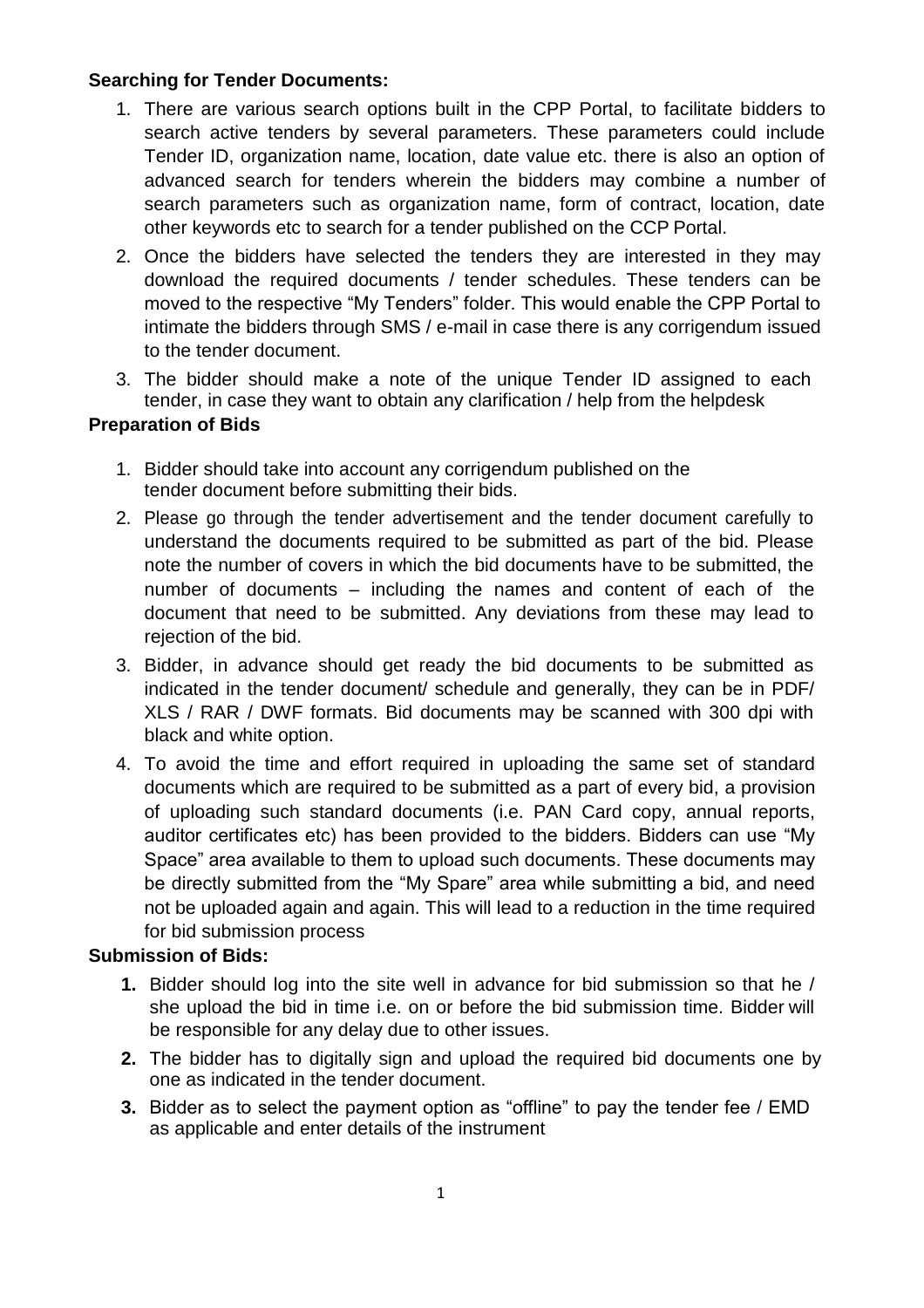## **Searching for Tender Documents:**

- 1. There are various search options built in the CPP Portal, to facilitate bidders to search active tenders by several parameters. These parameters could include Tender ID, organization name, location, date value etc. there is also an option of advanced search for tenders wherein the bidders may combine a number of search parameters such as organization name, form of contract, location, date other keywords etc to search for a tender published on the CCP Portal.
- 2. Once the bidders have selected the tenders they are interested in they may download the required documents / tender schedules. These tenders can be moved to the respective "My Tenders" folder. This would enable the CPP Portal to intimate the bidders through SMS / e-mail in case there is any corrigendum issued to the tender document.
- 3. The bidder should make a note of the unique Tender ID assigned to each tender, in case they want to obtain any clarification / help from the helpdesk

## **Preparation of Bids**

- 1. Bidder should take into account any corrigendum published on the tender document before submitting their bids.
- 2. Please go through the tender advertisement and the tender document carefully to understand the documents required to be submitted as part of the bid. Please note the number of covers in which the bid documents have to be submitted, the number of documents – including the names and content of each of the document that need to be submitted. Any deviations from these may lead to rejection of the bid.
- 3. Bidder, in advance should get ready the bid documents to be submitted as indicated in the tender document/ schedule and generally, they can be in PDF/ XLS / RAR / DWF formats. Bid documents may be scanned with 300 dpi with black and white option.
- 4. To avoid the time and effort required in uploading the same set of standard documents which are required to be submitted as a part of every bid, a provision of uploading such standard documents (i.e. PAN Card copy, annual reports, auditor certificates etc) has been provided to the bidders. Bidders can use "My Space" area available to them to upload such documents. These documents may be directly submitted from the "My Spare" area while submitting a bid, and need not be uploaded again and again. This will lead to a reduction in the time required for bid submission process

## **Submission of Bids:**

- **1.** Bidder should log into the site well in advance for bid submission so that he / she upload the bid in time i.e. on or before the bid submission time. Bidder will be responsible for any delay due to other issues.
- **2.** The bidder has to digitally sign and upload the required bid documents one by one as indicated in the tender document.
- **3.** Bidder as to select the payment option as "offline" to pay the tender fee / EMD as applicable and enter details of the instrument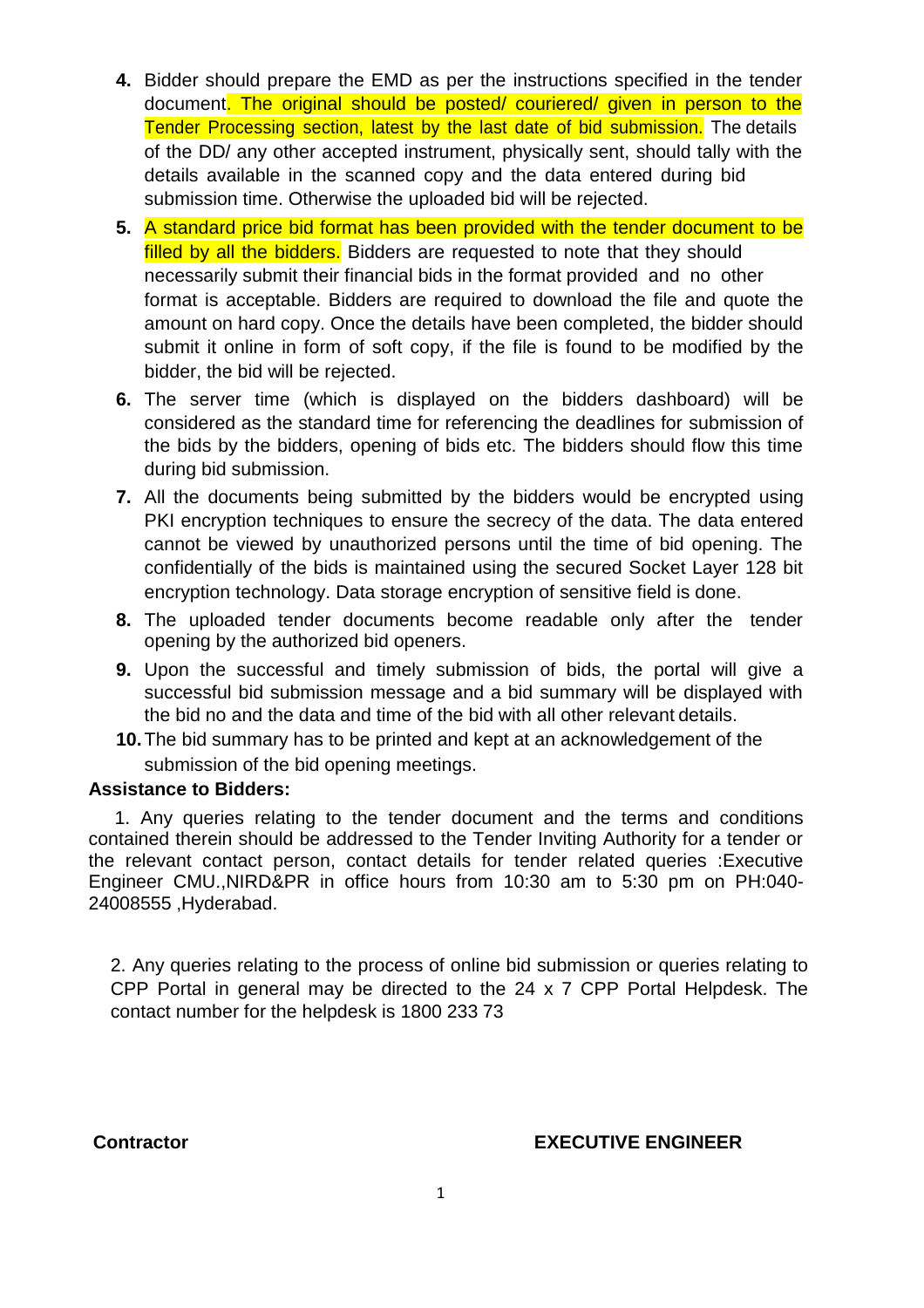- **4.** Bidder should prepare the EMD as per the instructions specified in the tender document. The original should be posted/ couriered/ given in person to the Tender Processing section, latest by the last date of bid submission. The details of the DD/ any other accepted instrument, physically sent, should tally with the details available in the scanned copy and the data entered during bid submission time. Otherwise the uploaded bid will be rejected.
- **5.** A standard price bid format has been provided with the tender document to be filled by all the bidders. Bidders are requested to note that they should necessarily submit their financial bids in the format provided and no other format is acceptable. Bidders are required to download the file and quote the amount on hard copy. Once the details have been completed, the bidder should submit it online in form of soft copy, if the file is found to be modified by the bidder, the bid will be rejected.
- **6.** The server time (which is displayed on the bidders dashboard) will be considered as the standard time for referencing the deadlines for submission of the bids by the bidders, opening of bids etc. The bidders should flow this time during bid submission.
- **7.** All the documents being submitted by the bidders would be encrypted using PKI encryption techniques to ensure the secrecy of the data. The data entered cannot be viewed by unauthorized persons until the time of bid opening. The confidentially of the bids is maintained using the secured Socket Layer 128 bit encryption technology. Data storage encryption of sensitive field is done.
- **8.** The uploaded tender documents become readable only after the tender opening by the authorized bid openers.
- **9.** Upon the successful and timely submission of bids, the portal will give a successful bid submission message and a bid summary will be displayed with the bid no and the data and time of the bid with all other relevant details.
- **10.**The bid summary has to be printed and kept at an acknowledgement of the submission of the bid opening meetings.

#### **Assistance to Bidders:**

1. Any queries relating to the tender document and the terms and conditions contained therein should be addressed to the Tender Inviting Authority for a tender or the relevant contact person, contact details for tender related queries :Executive Engineer CMU.,NIRD&PR in office hours from 10:30 am to 5:30 pm on PH:040- 24008555 ,Hyderabad.

2. Any queries relating to the process of online bid submission or queries relating to CPP Portal in general may be directed to the 24 x 7 CPP Portal Helpdesk. The contact number for the helpdesk is 1800 233 73

#### **Contractor EXECUTIVE ENGINEER**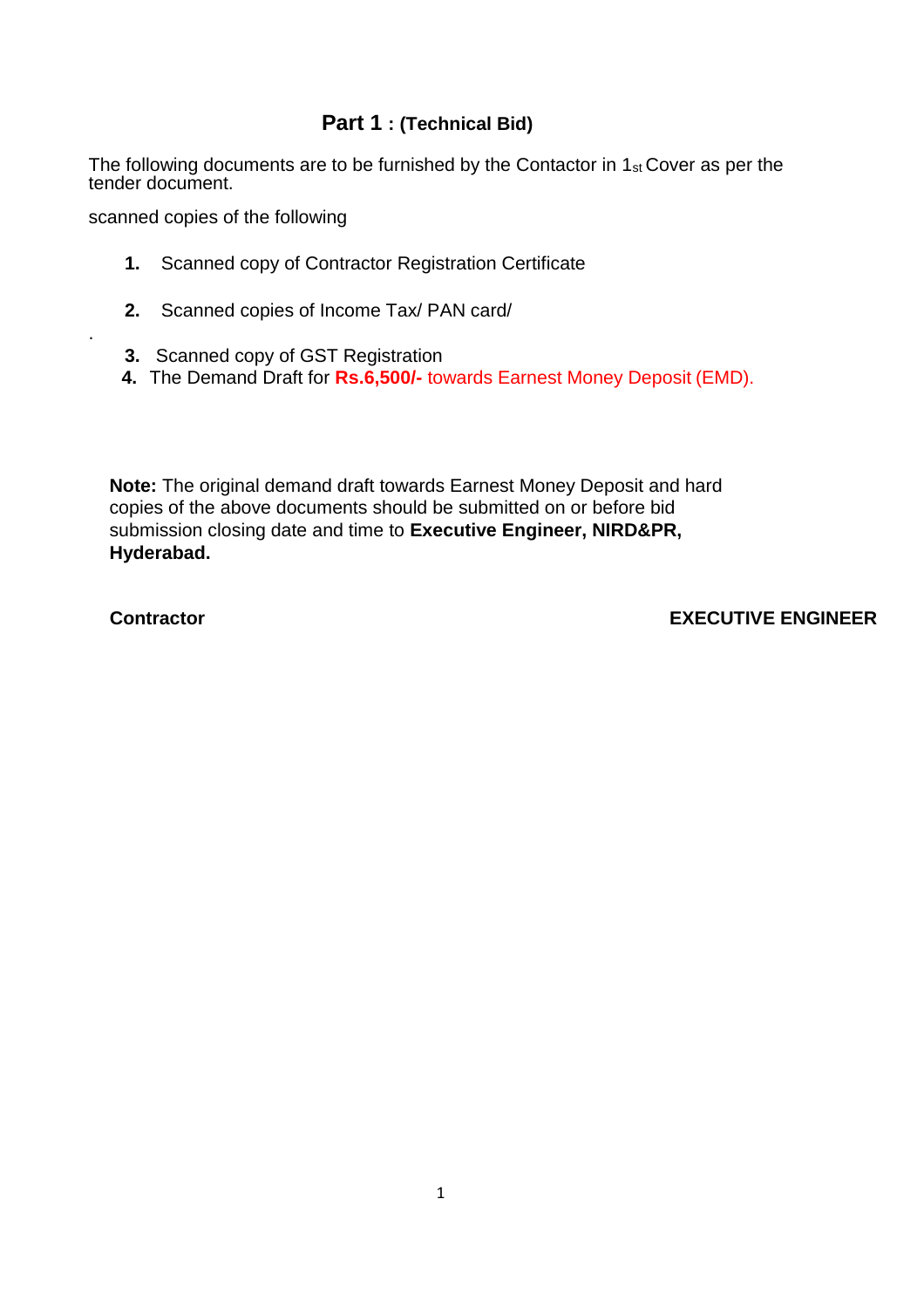## **Part 1 : (Technical Bid)**

The following documents are to be furnished by the Contactor in  $1_{st}$  Cover as per the tender document.

scanned copies of the following

- **1.** Scanned copy of Contractor Registration Certificate
- **2.** Scanned copies of Income Tax/ PAN card/
- **3.** Scanned copy of GST Registration
- **4.** The Demand Draft for **Rs.6,500/-** towards Earnest Money Deposit (EMD).

**Note:** The original demand draft towards Earnest Money Deposit and hard copies of the above documents should be submitted on or before bid submission closing date and time to **Executive Engineer, NIRD&PR, Hyderabad.**

.

**Contractor EXECUTIVE ENGINEER**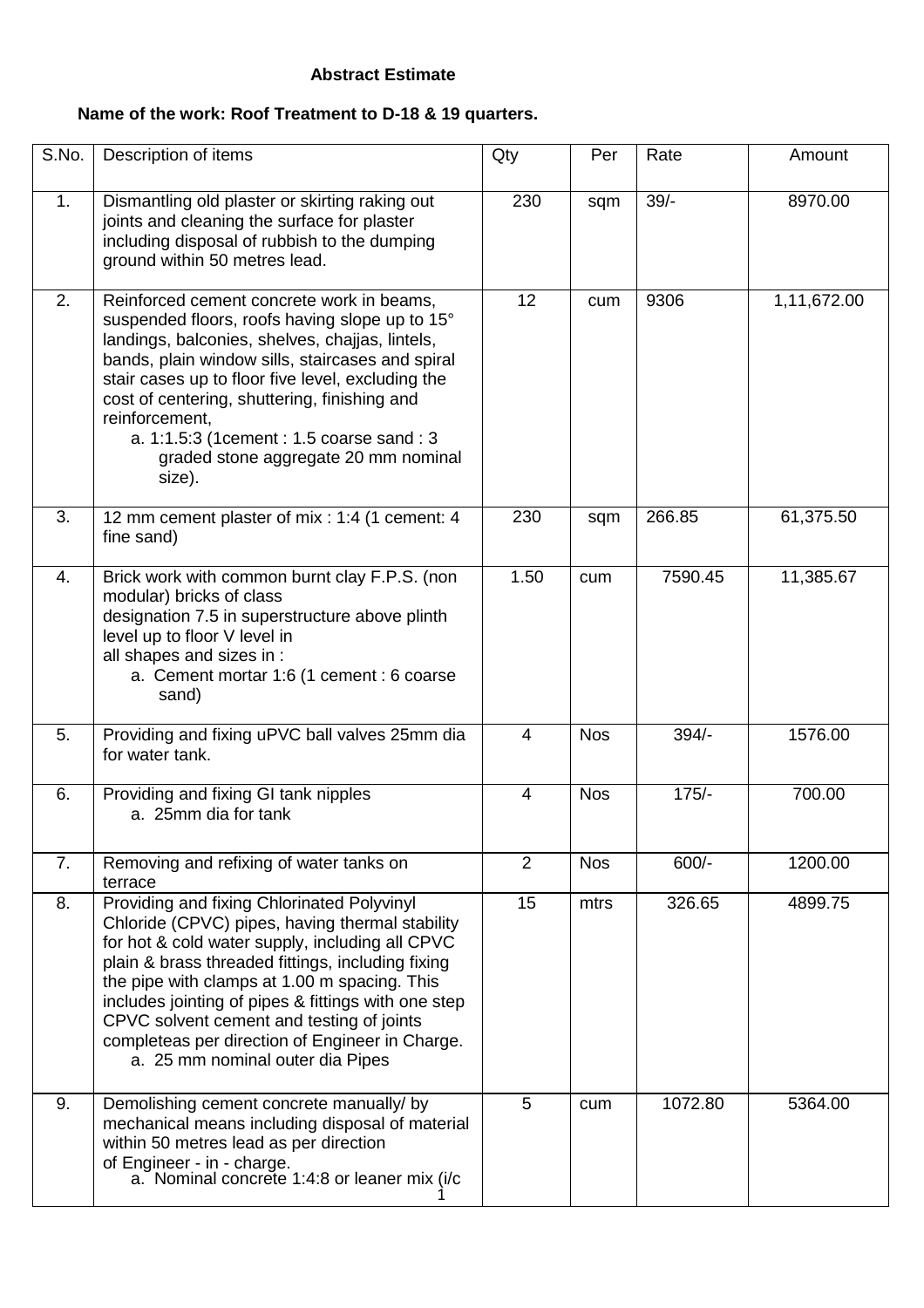#### **Abstract Estimate**

## **Name of the work: Roof Treatment to D-18 & 19 quarters.**

| S.No.            | Description of items                                                                                                                                                                                                                                                                                                                                                                                                                             | Qty             | Per        | Rate    | Amount      |
|------------------|--------------------------------------------------------------------------------------------------------------------------------------------------------------------------------------------------------------------------------------------------------------------------------------------------------------------------------------------------------------------------------------------------------------------------------------------------|-----------------|------------|---------|-------------|
| 1.               | Dismantling old plaster or skirting raking out<br>joints and cleaning the surface for plaster<br>including disposal of rubbish to the dumping<br>ground within 50 metres lead.                                                                                                                                                                                                                                                                   | 230             | sqm        | $39/-$  | 8970.00     |
| 2.               | Reinforced cement concrete work in beams,<br>suspended floors, roofs having slope up to 15°<br>landings, balconies, shelves, chajjas, lintels,<br>bands, plain window sills, staircases and spiral<br>stair cases up to floor five level, excluding the<br>cost of centering, shuttering, finishing and<br>reinforcement,<br>a. 1:1.5:3 (1cement: 1.5 coarse sand: 3<br>graded stone aggregate 20 mm nominal<br>size).                           | 12 <sup>°</sup> | cum        | 9306    | 1,11,672.00 |
| 3.               | 12 mm cement plaster of mix : 1:4 (1 cement: 4<br>fine sand)                                                                                                                                                                                                                                                                                                                                                                                     | 230             | sqm        | 266.85  | 61,375.50   |
| $\overline{4}$ . | Brick work with common burnt clay F.P.S. (non<br>modular) bricks of class<br>designation 7.5 in superstructure above plinth<br>level up to floor V level in<br>all shapes and sizes in :<br>a. Cement mortar 1:6 (1 cement : 6 coarse<br>sand)                                                                                                                                                                                                   | 1.50            | cum        | 7590.45 | 11,385.67   |
| 5.               | Providing and fixing uPVC ball valves 25mm dia<br>for water tank.                                                                                                                                                                                                                                                                                                                                                                                | 4               | <b>Nos</b> | $394/-$ | 1576.00     |
| 6.               | Providing and fixing GI tank nipples<br>a. 25mm dia for tank                                                                                                                                                                                                                                                                                                                                                                                     | 4               | <b>Nos</b> | $175/-$ | 700.00      |
| 7.               | Removing and refixing of water tanks on<br>terrace                                                                                                                                                                                                                                                                                                                                                                                               | 2               | <b>Nos</b> | $600/-$ | 1200.00     |
| 8.               | Providing and fixing Chlorinated Polyvinyl<br>Chloride (CPVC) pipes, having thermal stability<br>for hot & cold water supply, including all CPVC<br>plain & brass threaded fittings, including fixing<br>the pipe with clamps at 1.00 m spacing. This<br>includes jointing of pipes & fittings with one step<br>CPVC solvent cement and testing of joints<br>completeas per direction of Engineer in Charge.<br>a. 25 mm nominal outer dia Pipes | 15              | mtrs       | 326.65  | 4899.75     |
| 9.               | Demolishing cement concrete manually/ by<br>mechanical means including disposal of material<br>within 50 metres lead as per direction<br>of Engineer - in - charge.<br>a. Nominal concrete 1:4:8 or leaner mix (i/c                                                                                                                                                                                                                              | 5               | cum        | 1072.80 | 5364.00     |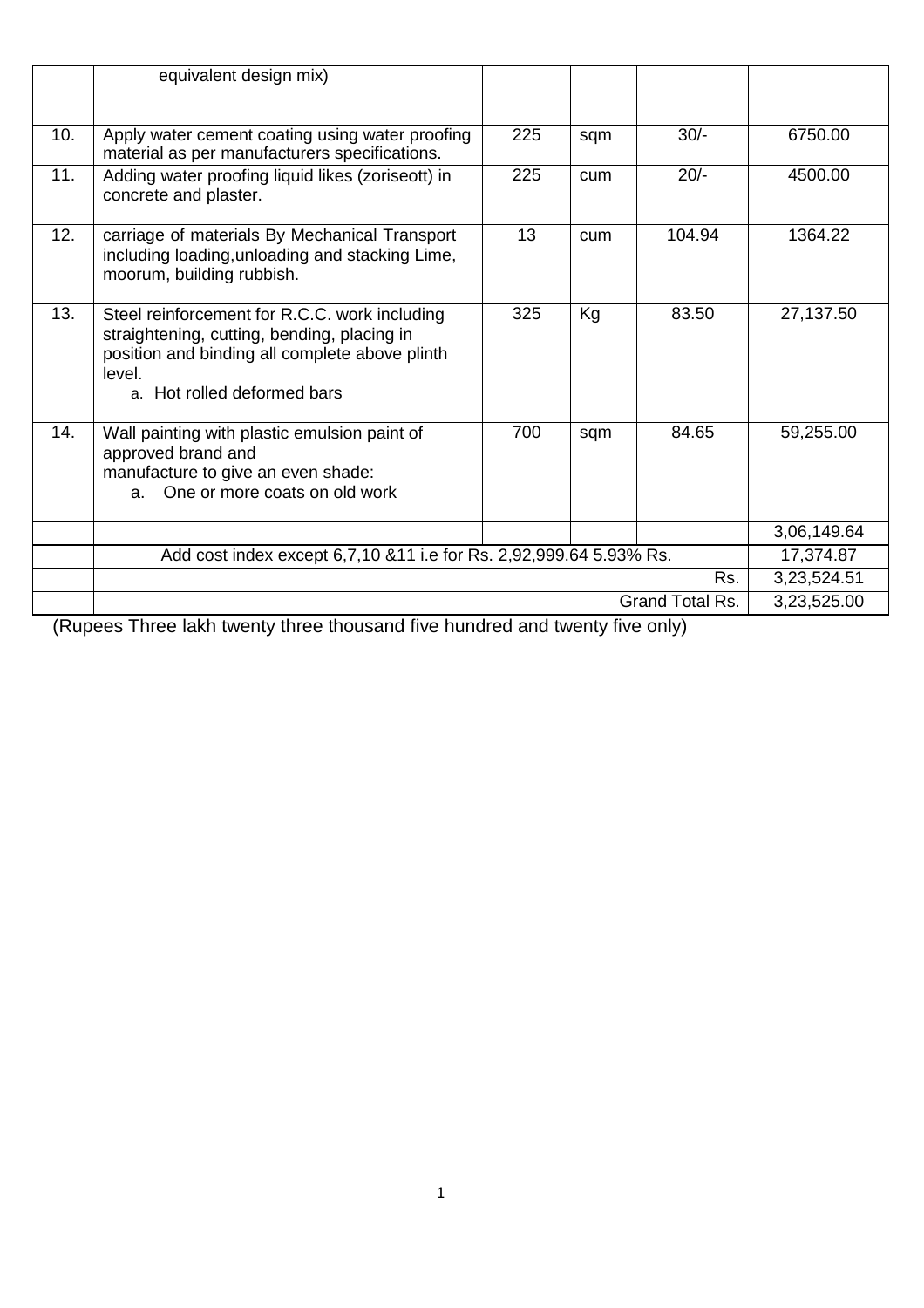|     | equivalent design mix)                                                                                                                                                                  |     |     |        |             |
|-----|-----------------------------------------------------------------------------------------------------------------------------------------------------------------------------------------|-----|-----|--------|-------------|
| 10. | Apply water cement coating using water proofing<br>material as per manufacturers specifications.                                                                                        | 225 | sqm | $30/-$ | 6750.00     |
| 11. | Adding water proofing liquid likes (zoriseott) in<br>concrete and plaster.                                                                                                              | 225 | cum | $20/-$ | 4500.00     |
| 12. | carriage of materials By Mechanical Transport<br>including loading, unloading and stacking Lime,<br>moorum, building rubbish.                                                           | 13  | cum | 104.94 | 1364.22     |
| 13. | Steel reinforcement for R.C.C. work including<br>straightening, cutting, bending, placing in<br>position and binding all complete above plinth<br>level.<br>a. Hot rolled deformed bars | 325 | Kg  | 83.50  | 27,137.50   |
| 14. | Wall painting with plastic emulsion paint of<br>approved brand and<br>manufacture to give an even shade:<br>a. One or more coats on old work                                            | 700 | sqm | 84.65  | 59,255.00   |
|     |                                                                                                                                                                                         |     |     |        | 3,06,149.64 |
|     | Add cost index except 6,7,10 & 11 i.e for Rs. 2,92,999.64 5.93% Rs.                                                                                                                     |     |     |        | 17,374.87   |
|     | Rs.                                                                                                                                                                                     |     |     |        |             |
|     | Grand Total Rs.                                                                                                                                                                         |     |     |        |             |

(Rupees Three lakh twenty three thousand five hundred and twenty five only)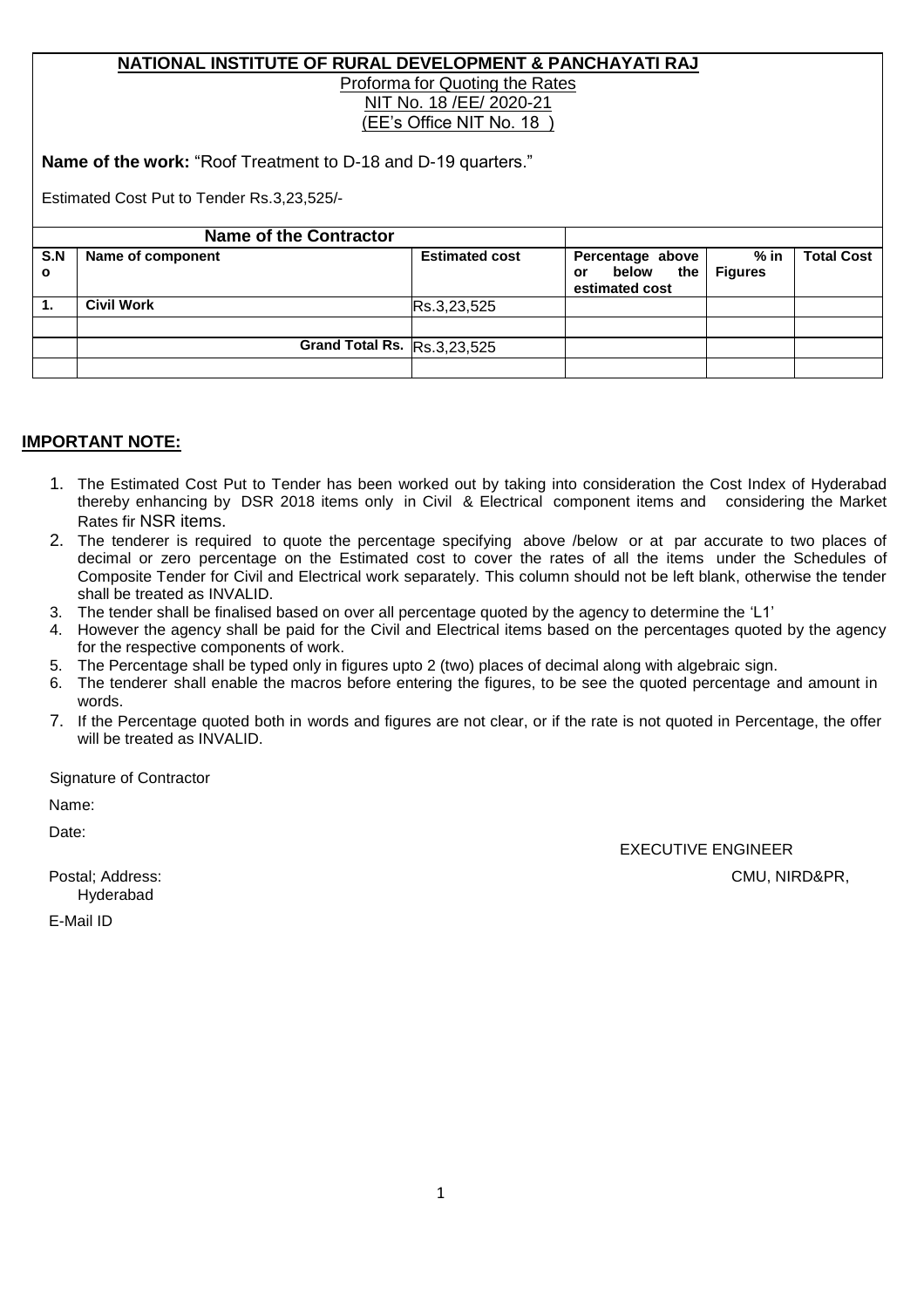#### **NATIONAL INSTITUTE OF RURAL DEVELOPMENT & PANCHAYATI RAJ** Proforma for Quoting the Rates NIT No. 18 /EE/ 2020-21 (EE's Office NIT No. 18 )

**Name of the work:** "Roof Treatment to D-18 and D-19 quarters."

Estimated Cost Put to Tender Rs.3,23,525/-

|                     | <b>Name of the Contractor</b> |                       |                                                       |                        |                   |
|---------------------|-------------------------------|-----------------------|-------------------------------------------------------|------------------------|-------------------|
| S.N<br>$\mathbf{o}$ | Name of component             | <b>Estimated cost</b> | Percentage above<br>below the<br>or<br>estimated cost | % in<br><b>Figures</b> | <b>Total Cost</b> |
| 1.                  | <b>Civil Work</b>             | Rs.3,23,525           |                                                       |                        |                   |
|                     |                               |                       |                                                       |                        |                   |
|                     | Grand Total Rs. Rs.3,23,525   |                       |                                                       |                        |                   |
|                     |                               |                       |                                                       |                        |                   |

## **IMPORTANT NOTE:**

- 1. The Estimated Cost Put to Tender has been worked out by taking into consideration the Cost Index of Hyderabad thereby enhancing by DSR 2018 items only in Civil & Electrical component items and considering the Market Rates fir NSR items.
- 2. The tenderer is required to quote the percentage specifying above /below or at par accurate to two places of decimal or zero percentage on the Estimated cost to cover the rates of all the items under the Schedules of Composite Tender for Civil and Electrical work separately. This column should not be left blank, otherwise the tender shall be treated as INVALID.
- 3. The tender shall be finalised based on over all percentage quoted by the agency to determine the 'L1'
- 4. However the agency shall be paid for the Civil and Electrical items based on the percentages quoted by the agency for the respective components of work.
- 5. The Percentage shall be typed only in figures upto 2 (two) places of decimal along with algebraic sign.
- 6. The tenderer shall enable the macros before entering the figures, to be see the quoted percentage and amount in words.
- 7. If the Percentage quoted both in words and figures are not clear, or if the rate is not quoted in Percentage, the offer will be treated as INVALID.

Signature of Contractor

Name:

Date:

EXECUTIVE ENGINEER

Postal; Address: CMU, NIRD&PR,

Hyderabad

E-Mail ID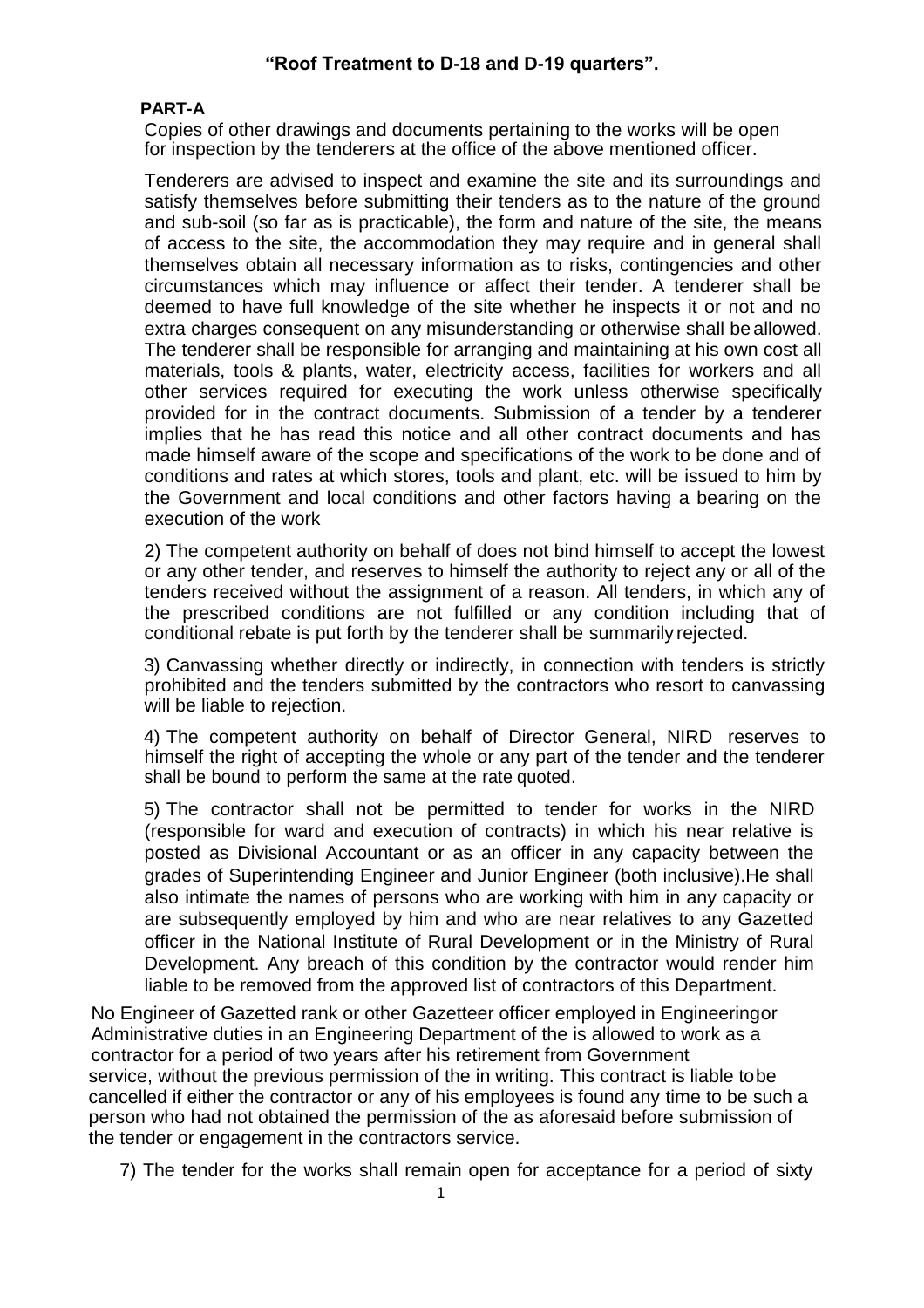#### **"Roof Treatment to D-18 and D-19 quarters".**

#### **PART-A**

Copies of other drawings and documents pertaining to the works will be open for inspection by the tenderers at the office of the above mentioned officer.

Tenderers are advised to inspect and examine the site and its surroundings and satisfy themselves before submitting their tenders as to the nature of the ground and sub-soil (so far as is practicable), the form and nature of the site, the means of access to the site, the accommodation they may require and in general shall themselves obtain all necessary information as to risks, contingencies and other circumstances which may influence or affect their tender. A tenderer shall be deemed to have full knowledge of the site whether he inspects it or not and no extra charges consequent on any misunderstanding or otherwise shall be allowed. The tenderer shall be responsible for arranging and maintaining at his own cost all materials, tools & plants, water, electricity access, facilities for workers and all other services required for executing the work unless otherwise specifically provided for in the contract documents. Submission of a tender by a tenderer implies that he has read this notice and all other contract documents and has made himself aware of the scope and specifications of the work to be done and of conditions and rates at which stores, tools and plant, etc. will be issued to him by the Government and local conditions and other factors having a bearing on the execution of the work

2) The competent authority on behalf of does not bind himself to accept the lowest or any other tender, and reserves to himself the authority to reject any or all of the tenders received without the assignment of a reason. All tenders, in which any of the prescribed conditions are not fulfilled or any condition including that of conditional rebate is put forth by the tenderer shall be summarily rejected.

3) Canvassing whether directly or indirectly, in connection with tenders is strictly prohibited and the tenders submitted by the contractors who resort to canvassing will be liable to rejection.

4) The competent authority on behalf of Director General, NIRD reserves to himself the right of accepting the whole or any part of the tender and the tenderer shall be bound to perform the same at the rate quoted.

5) The contractor shall not be permitted to tender for works in the NIRD (responsible for ward and execution of contracts) in which his near relative is posted as Divisional Accountant or as an officer in any capacity between the grades of Superintending Engineer and Junior Engineer (both inclusive).He shall also intimate the names of persons who are working with him in any capacity or are subsequently employed by him and who are near relatives to any Gazetted officer in the National Institute of Rural Development or in the Ministry of Rural Development. Any breach of this condition by the contractor would render him liable to be removed from the approved list of contractors of this Department.

No Engineer of Gazetted rank or other Gazetteer officer employed in Engineeringor Administrative duties in an Engineering Department of the is allowed to work as a contractor for a period of two years after his retirement from Government service, without the previous permission of the in writing. This contract is liable tobe cancelled if either the contractor or any of his employees is found any time to be such a person who had not obtained the permission of the as aforesaid before submission of the tender or engagement in the contractors service.

7) The tender for the works shall remain open for acceptance for a period of sixty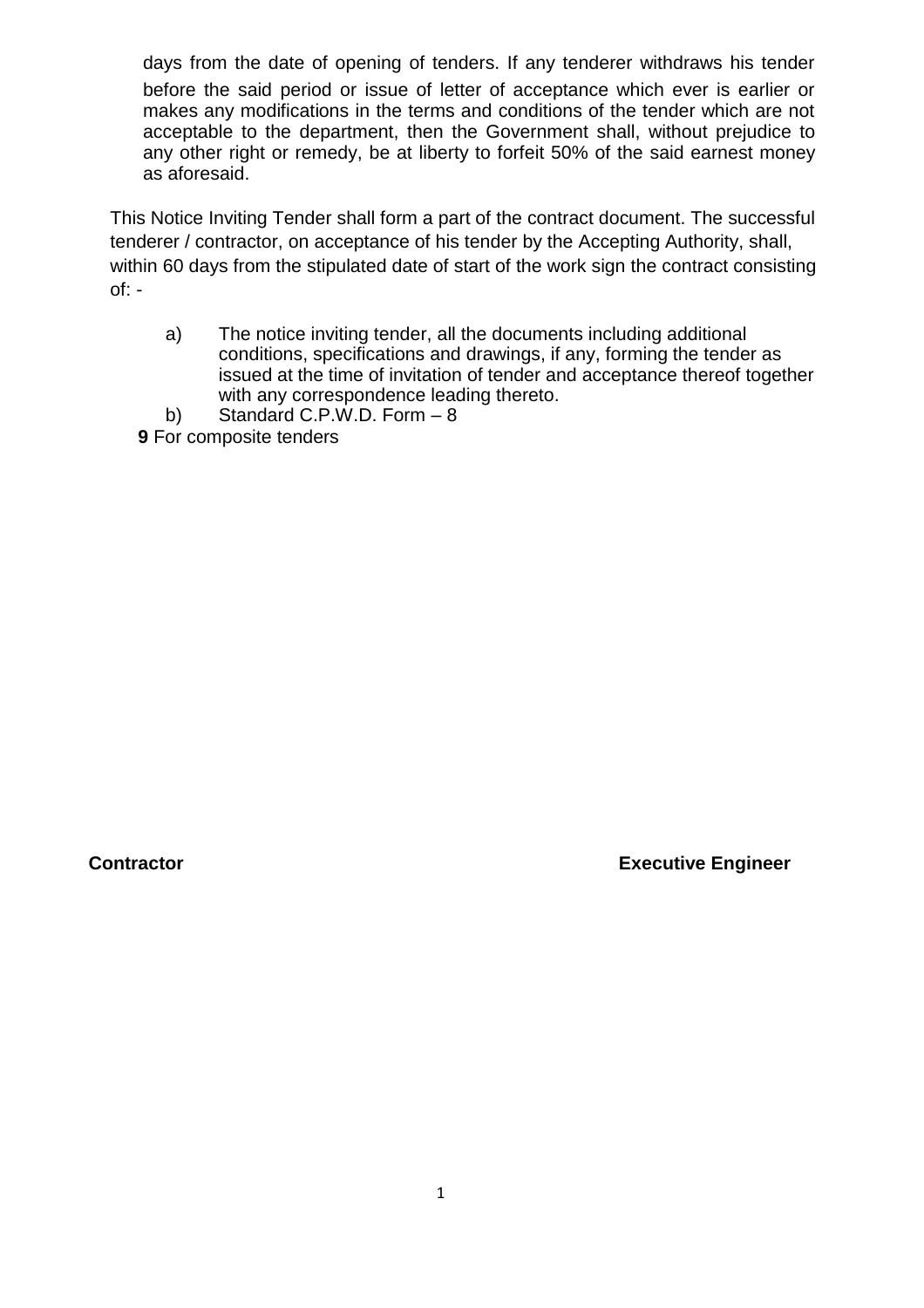days from the date of opening of tenders. If any tenderer withdraws his tender before the said period or issue of letter of acceptance which ever is earlier or makes any modifications in the terms and conditions of the tender which are not acceptable to the department, then the Government shall, without prejudice to any other right or remedy, be at liberty to forfeit 50% of the said earnest money as aforesaid.

This Notice Inviting Tender shall form a part of the contract document. The successful tenderer / contractor, on acceptance of his tender by the Accepting Authority, shall, within 60 days from the stipulated date of start of the work sign the contract consisting  $of: -$ 

- a) The notice inviting tender, all the documents including additional conditions, specifications and drawings, if any, forming the tender as issued at the time of invitation of tender and acceptance thereof together with any correspondence leading thereto.
- b) Standard C.P.W.D. Form 8
- **9** For composite tenders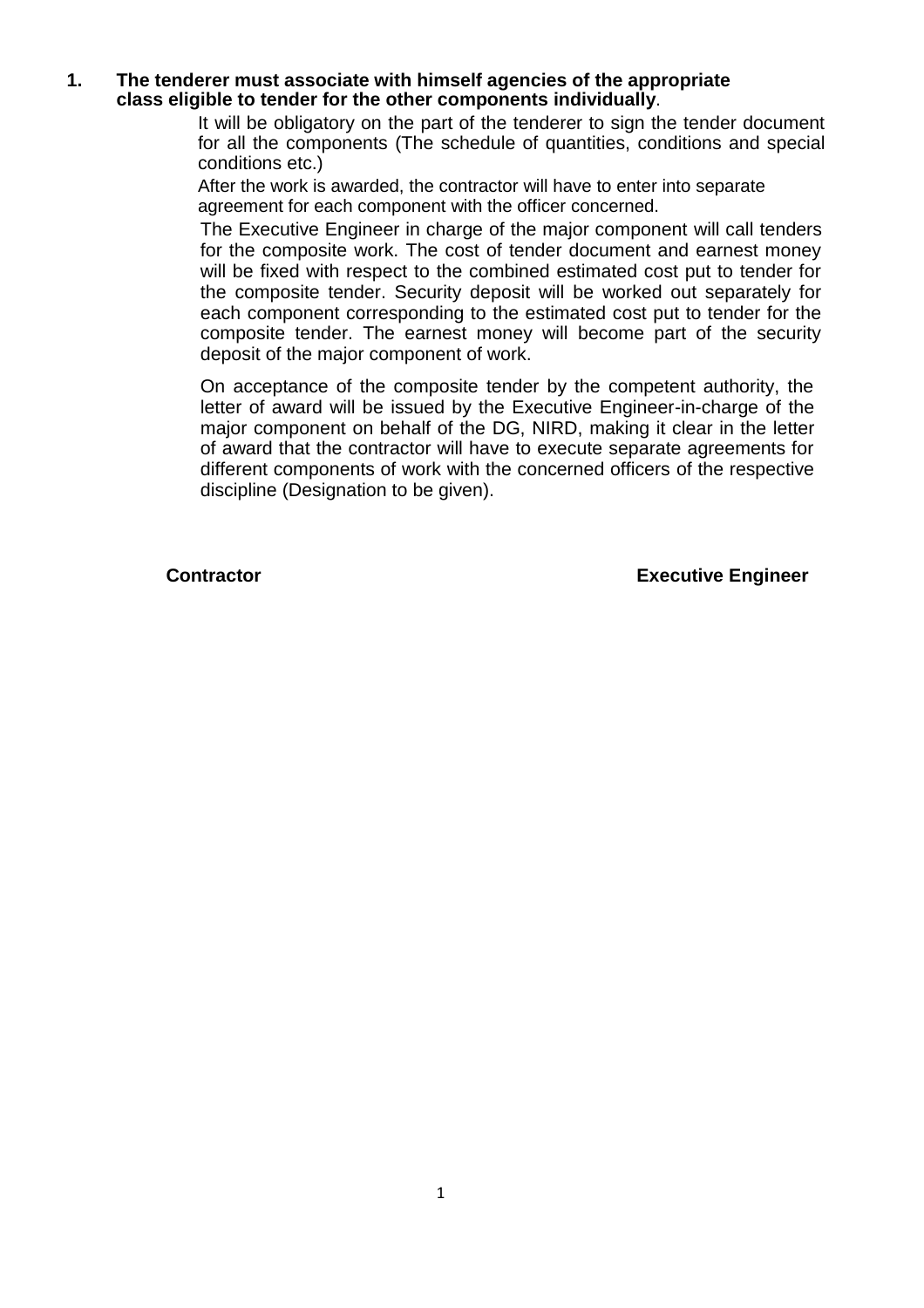#### **1. The tenderer must associate with himself agencies of the appropriate class eligible to tender for the other components individually**.

It will be obligatory on the part of the tenderer to sign the tender document for all the components (The schedule of quantities, conditions and special conditions etc.)

After the work is awarded, the contractor will have to enter into separate agreement for each component with the officer concerned.

The Executive Engineer in charge of the major component will call tenders for the composite work. The cost of tender document and earnest money will be fixed with respect to the combined estimated cost put to tender for the composite tender. Security deposit will be worked out separately for each component corresponding to the estimated cost put to tender for the composite tender. The earnest money will become part of the security deposit of the major component of work.

On acceptance of the composite tender by the competent authority, the letter of award will be issued by the Executive Engineer-in-charge of the major component on behalf of the DG, NIRD, making it clear in the letter of award that the contractor will have to execute separate agreements for different components of work with the concerned officers of the respective discipline (Designation to be given).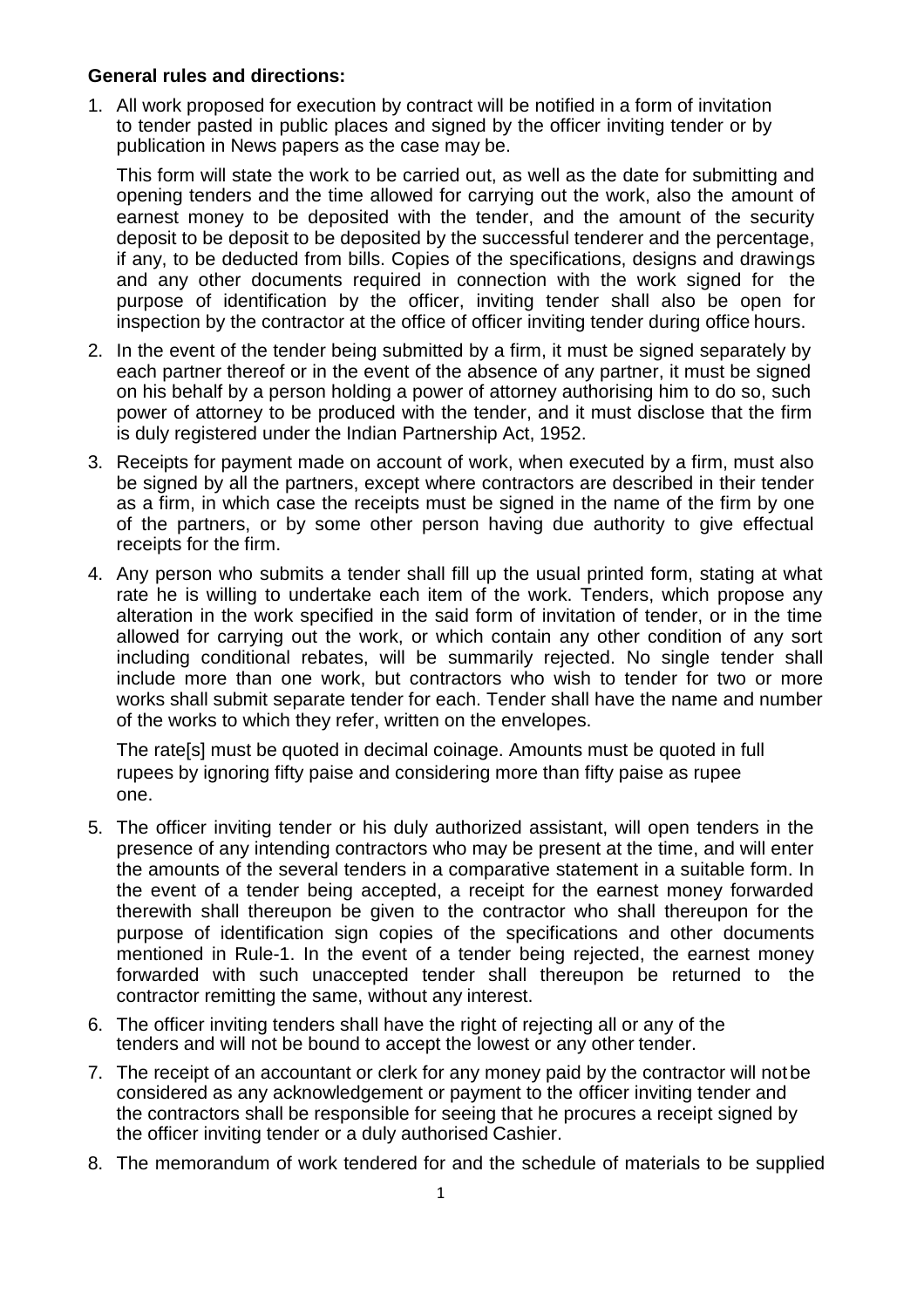## **General rules and directions:**

1. All work proposed for execution by contract will be notified in a form of invitation to tender pasted in public places and signed by the officer inviting tender or by publication in News papers as the case may be.

This form will state the work to be carried out, as well as the date for submitting and opening tenders and the time allowed for carrying out the work, also the amount of earnest money to be deposited with the tender, and the amount of the security deposit to be deposit to be deposited by the successful tenderer and the percentage, if any, to be deducted from bills. Copies of the specifications, designs and drawings and any other documents required in connection with the work signed for the purpose of identification by the officer, inviting tender shall also be open for inspection by the contractor at the office of officer inviting tender during office hours.

- 2. In the event of the tender being submitted by a firm, it must be signed separately by each partner thereof or in the event of the absence of any partner, it must be signed on his behalf by a person holding a power of attorney authorising him to do so, such power of attorney to be produced with the tender, and it must disclose that the firm is duly registered under the Indian Partnership Act, 1952.
- 3. Receipts for payment made on account of work, when executed by a firm, must also be signed by all the partners, except where contractors are described in their tender as a firm, in which case the receipts must be signed in the name of the firm by one of the partners, or by some other person having due authority to give effectual receipts for the firm.
- 4. Any person who submits a tender shall fill up the usual printed form, stating at what rate he is willing to undertake each item of the work. Tenders, which propose any alteration in the work specified in the said form of invitation of tender, or in the time allowed for carrying out the work, or which contain any other condition of any sort including conditional rebates, will be summarily rejected. No single tender shall include more than one work, but contractors who wish to tender for two or more works shall submit separate tender for each. Tender shall have the name and number of the works to which they refer, written on the envelopes.

The rate[s] must be quoted in decimal coinage. Amounts must be quoted in full rupees by ignoring fifty paise and considering more than fifty paise as rupee one.

- 5. The officer inviting tender or his duly authorized assistant, will open tenders in the presence of any intending contractors who may be present at the time, and will enter the amounts of the several tenders in a comparative statement in a suitable form. In the event of a tender being accepted, a receipt for the earnest money forwarded therewith shall thereupon be given to the contractor who shall thereupon for the purpose of identification sign copies of the specifications and other documents mentioned in Rule-1. In the event of a tender being rejected, the earnest money forwarded with such unaccepted tender shall thereupon be returned to the contractor remitting the same, without any interest.
- 6. The officer inviting tenders shall have the right of rejecting all or any of the tenders and will not be bound to accept the lowest or any other tender.
- 7. The receipt of an accountant or clerk for any money paid by the contractor will notbe considered as any acknowledgement or payment to the officer inviting tender and the contractors shall be responsible for seeing that he procures a receipt signed by the officer inviting tender or a duly authorised Cashier.
- 8. The memorandum of work tendered for and the schedule of materials to be supplied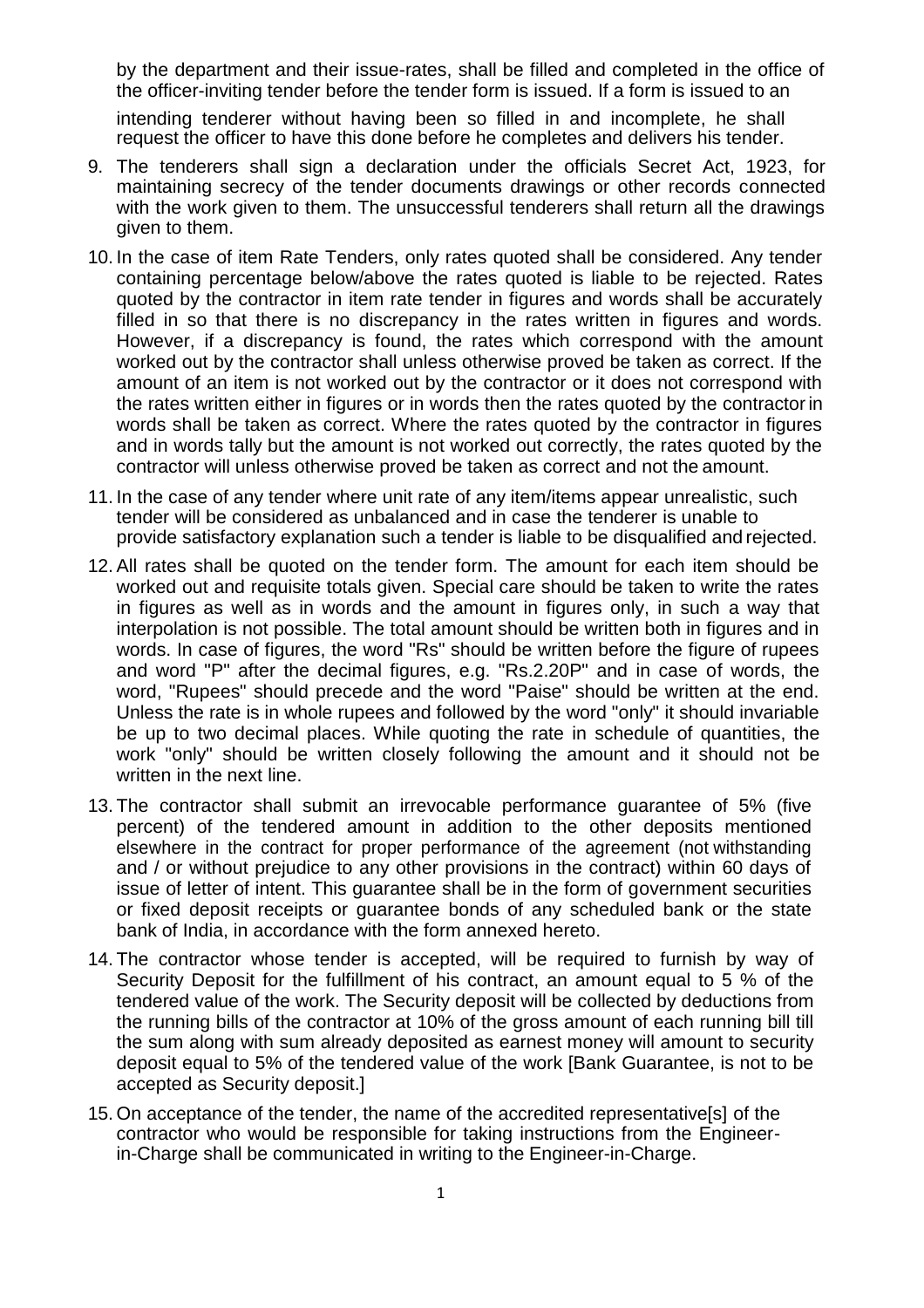by the department and their issue-rates, shall be filled and completed in the office of the officer-inviting tender before the tender form is issued. If a form is issued to an

intending tenderer without having been so filled in and incomplete, he shall request the officer to have this done before he completes and delivers his tender.

- 9. The tenderers shall sign a declaration under the officials Secret Act, 1923, for maintaining secrecy of the tender documents drawings or other records connected with the work given to them. The unsuccessful tenderers shall return all the drawings given to them.
- 10. In the case of item Rate Tenders, only rates quoted shall be considered. Any tender containing percentage below/above the rates quoted is liable to be rejected. Rates quoted by the contractor in item rate tender in figures and words shall be accurately filled in so that there is no discrepancy in the rates written in figures and words. However, if a discrepancy is found, the rates which correspond with the amount worked out by the contractor shall unless otherwise proved be taken as correct. If the amount of an item is not worked out by the contractor or it does not correspond with the rates written either in figures or in words then the rates quoted by the contractorin words shall be taken as correct. Where the rates quoted by the contractor in figures and in words tally but the amount is not worked out correctly, the rates quoted by the contractor will unless otherwise proved be taken as correct and not the amount.
- 11. In the case of any tender where unit rate of any item/items appear unrealistic, such tender will be considered as unbalanced and in case the tenderer is unable to provide satisfactory explanation such a tender is liable to be disqualified and rejected.
- 12. All rates shall be quoted on the tender form. The amount for each item should be worked out and requisite totals given. Special care should be taken to write the rates in figures as well as in words and the amount in figures only, in such a way that interpolation is not possible. The total amount should be written both in figures and in words. In case of figures, the word "Rs" should be written before the figure of rupees and word "P" after the decimal figures, e.g. "Rs.2.20P" and in case of words, the word, "Rupees" should precede and the word "Paise" should be written at the end. Unless the rate is in whole rupees and followed by the word "only" it should invariable be up to two decimal places. While quoting the rate in schedule of quantities, the work "only" should be written closely following the amount and it should not be written in the next line.
- 13. The contractor shall submit an irrevocable performance guarantee of 5% (five percent) of the tendered amount in addition to the other deposits mentioned elsewhere in the contract for proper performance of the agreement (not withstanding and / or without prejudice to any other provisions in the contract) within 60 days of issue of letter of intent. This guarantee shall be in the form of government securities or fixed deposit receipts or guarantee bonds of any scheduled bank or the state bank of India, in accordance with the form annexed hereto.
- 14. The contractor whose tender is accepted, will be required to furnish by way of Security Deposit for the fulfillment of his contract, an amount equal to 5 % of the tendered value of the work. The Security deposit will be collected by deductions from the running bills of the contractor at 10% of the gross amount of each running bill till the sum along with sum already deposited as earnest money will amount to security deposit equal to 5% of the tendered value of the work [Bank Guarantee, is not to be accepted as Security deposit.]
- 15. On acceptance of the tender, the name of the accredited representative[s] of the contractor who would be responsible for taking instructions from the Engineerin-Charge shall be communicated in writing to the Engineer-in-Charge.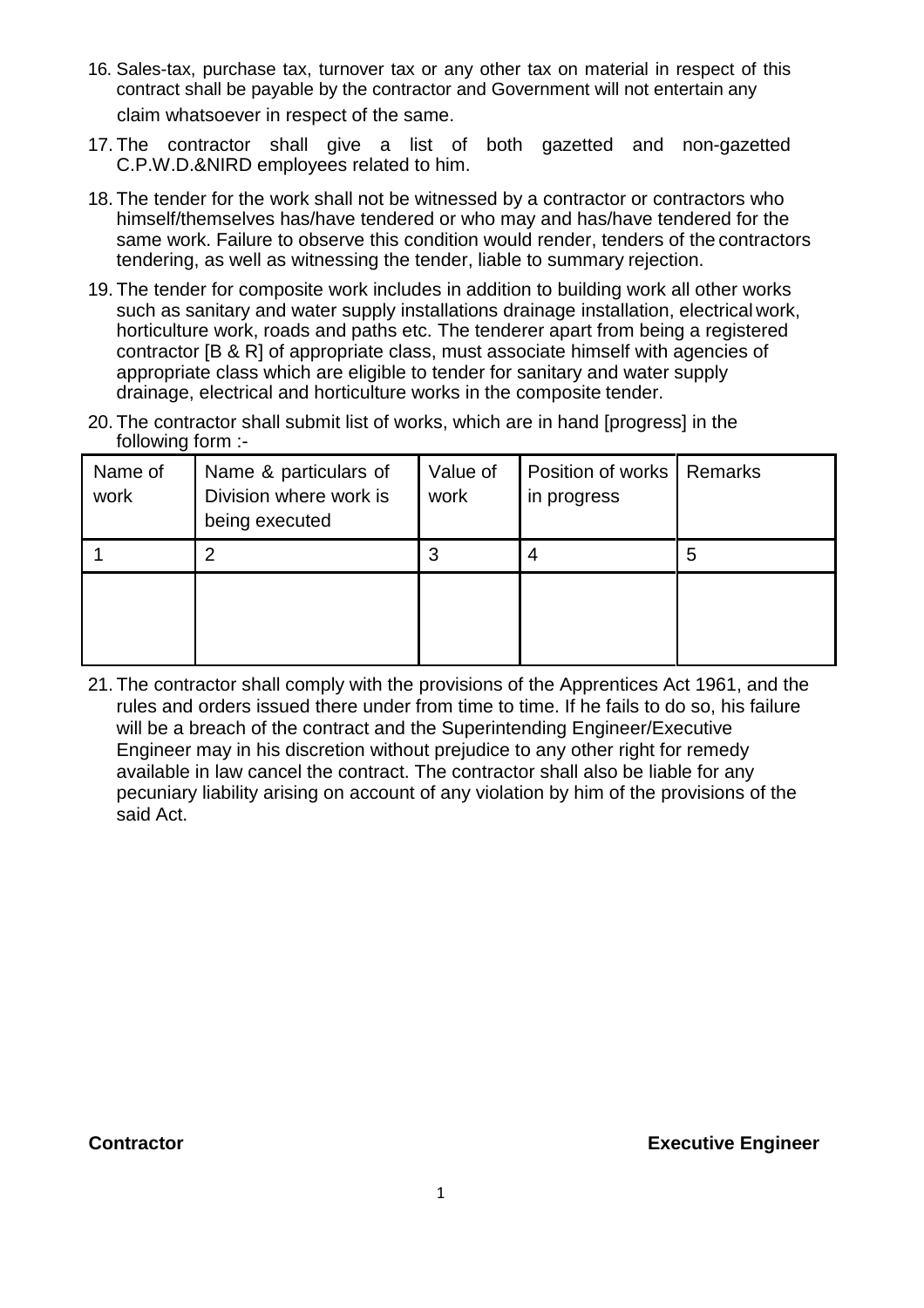- 16. Sales-tax, purchase tax, turnover tax or any other tax on material in respect of this contract shall be payable by the contractor and Government will not entertain any claim whatsoever in respect of the same.
- 17. The contractor shall give a list of both gazetted and non-gazetted C.P.W.D.&NIRD employees related to him.
- 18. The tender for the work shall not be witnessed by a contractor or contractors who himself/themselves has/have tendered or who may and has/have tendered for the same work. Failure to observe this condition would render, tenders of the contractors tendering, as well as witnessing the tender, liable to summary rejection.
- 19. The tender for composite work includes in addition to building work all other works such as sanitary and water supply installations drainage installation, electrical work, horticulture work, roads and paths etc. The tenderer apart from being a registered contractor [B & R] of appropriate class, must associate himself with agencies of appropriate class which are eligible to tender for sanitary and water supply drainage, electrical and horticulture works in the composite tender.
- 20. The contractor shall submit list of works, which are in hand [progress] in the following form :-

| Name of<br>work | Name & particulars of<br>Division where work is<br>being executed | Value of<br>work | Position of works   Remarks<br>in progress |   |
|-----------------|-------------------------------------------------------------------|------------------|--------------------------------------------|---|
|                 | $\overline{2}$                                                    | 3                | 4                                          | 5 |
|                 |                                                                   |                  |                                            |   |

21. The contractor shall comply with the provisions of the Apprentices Act 1961, and the rules and orders issued there under from time to time. If he fails to do so, his failure will be a breach of the contract and the Superintending Engineer/Executive Engineer may in his discretion without prejudice to any other right for remedy available in law cancel the contract. The contractor shall also be liable for any pecuniary liability arising on account of any violation by him of the provisions of the said Act.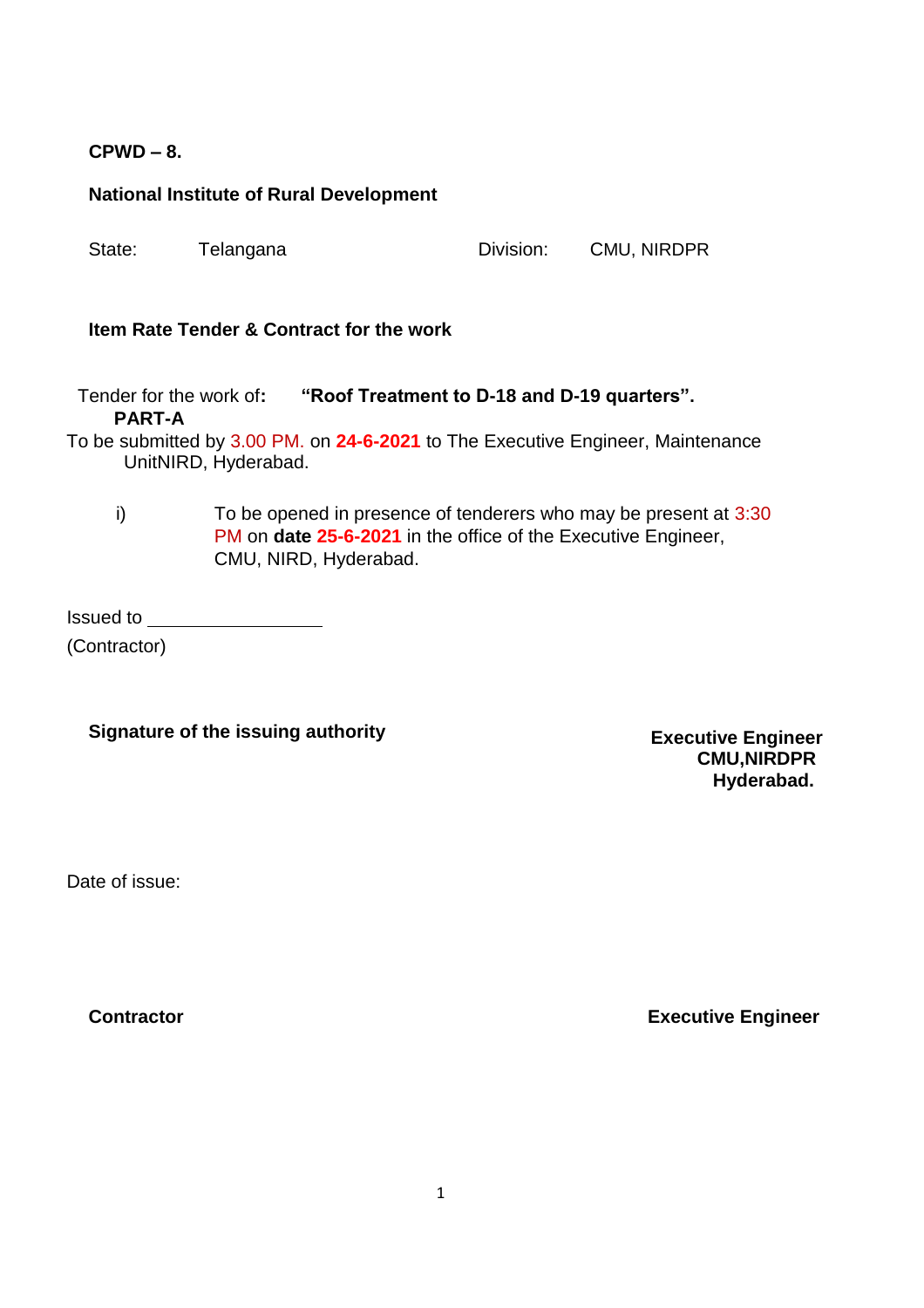## **CPWD – 8.**

#### **National Institute of Rural Development**

| State: | Telangana | Division: | CMU, NIRDPR |
|--------|-----------|-----------|-------------|
|        |           |           |             |

## **Item Rate Tender & Contract for the work**

Tender for the work of**: "Roof Treatment to D-18 and D-19 quarters". PART-A**

To be submitted by 3.00 PM. on **24-6-2021** to The Executive Engineer, Maintenance UnitNIRD, Hyderabad.

 $i)$  To be opened in presence of tenderers who may be present at  $3:30$ PM on **date 25-6-2021** in the office of the Executive Engineer, CMU, NIRD, Hyderabad.

Issued to

(Contractor)

## **Signature of the issuing authority**

**Executive Engineer CMU,NIRDPR Hyderabad.**

Date of issue: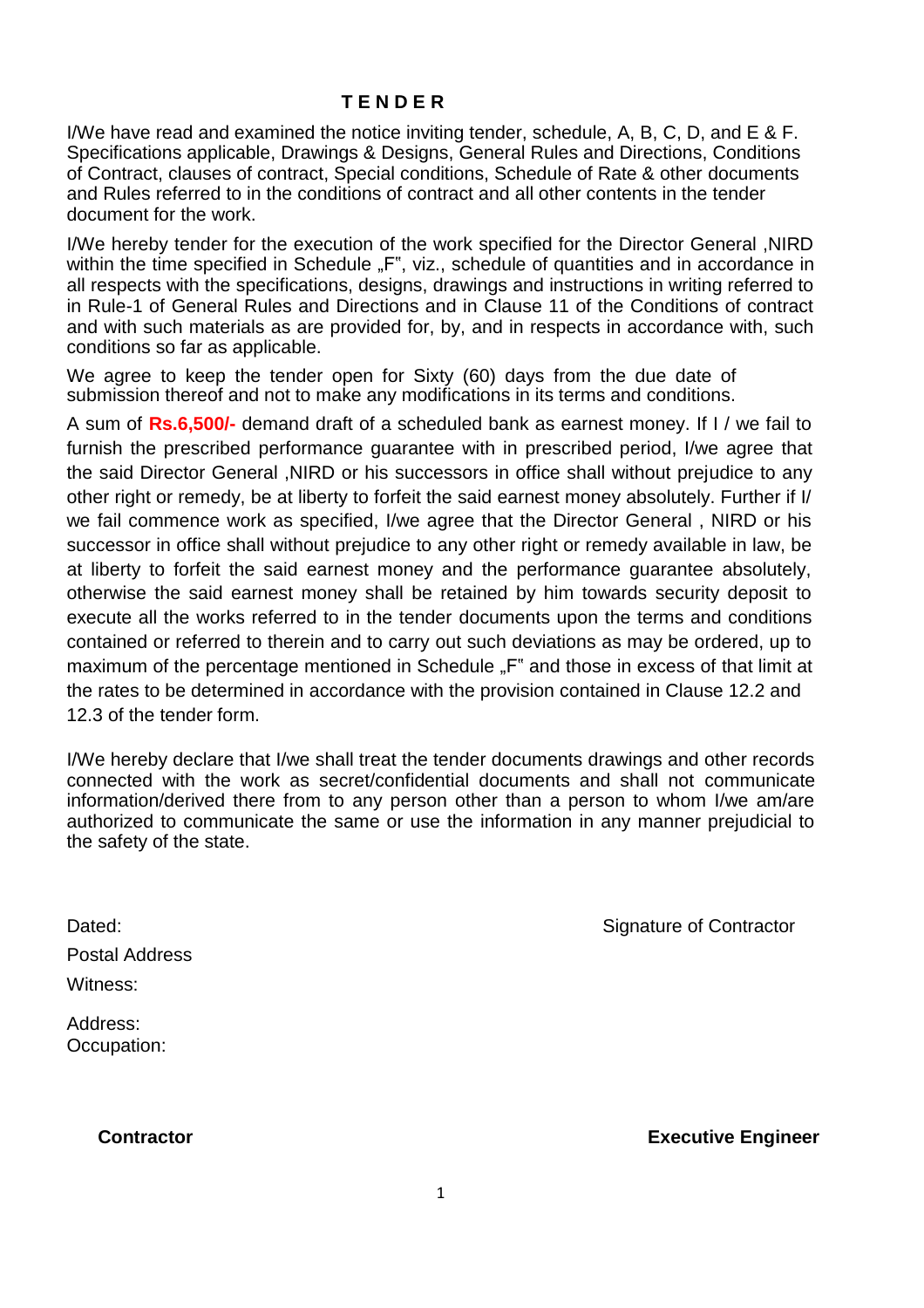### **T E N D E R**

I/We have read and examined the notice inviting tender, schedule, A, B, C, D, and E & F. Specifications applicable, Drawings & Designs, General Rules and Directions, Conditions of Contract, clauses of contract, Special conditions, Schedule of Rate & other documents and Rules referred to in the conditions of contract and all other contents in the tender document for the work.

I/We hereby tender for the execution of the work specified for the Director General ,NIRD within the time specified in Schedule "F", viz., schedule of quantities and in accordance in all respects with the specifications, designs, drawings and instructions in writing referred to in Rule-1 of General Rules and Directions and in Clause 11 of the Conditions of contract and with such materials as are provided for, by, and in respects in accordance with, such conditions so far as applicable.

We agree to keep the tender open for Sixty (60) days from the due date of submission thereof and not to make any modifications in its terms and conditions.

A sum of **Rs.6,500/-** demand draft of a scheduled bank as earnest money. If I / we fail to furnish the prescribed performance guarantee with in prescribed period, I/we agree that the said Director General ,NIRD or his successors in office shall without prejudice to any other right or remedy, be at liberty to forfeit the said earnest money absolutely. Further if I/ we fail commence work as specified, I/we agree that the Director General , NIRD or his successor in office shall without prejudice to any other right or remedy available in law, be at liberty to forfeit the said earnest money and the performance guarantee absolutely, otherwise the said earnest money shall be retained by him towards security deposit to execute all the works referred to in the tender documents upon the terms and conditions contained or referred to therein and to carry out such deviations as may be ordered, up to maximum of the percentage mentioned in Schedule "F" and those in excess of that limit at the rates to be determined in accordance with the provision contained in Clause 12.2 and 12.3 of the tender form.

I/We hereby declare that I/we shall treat the tender documents drawings and other records connected with the work as secret/confidential documents and shall not communicate information/derived there from to any person other than a person to whom I/we am/are authorized to communicate the same or use the information in any manner prejudicial to the safety of the state.

Postal Address Witness:

Address: Occupation:

Dated: Contractor Contractor Contractor Contractor Contractor Contractor

1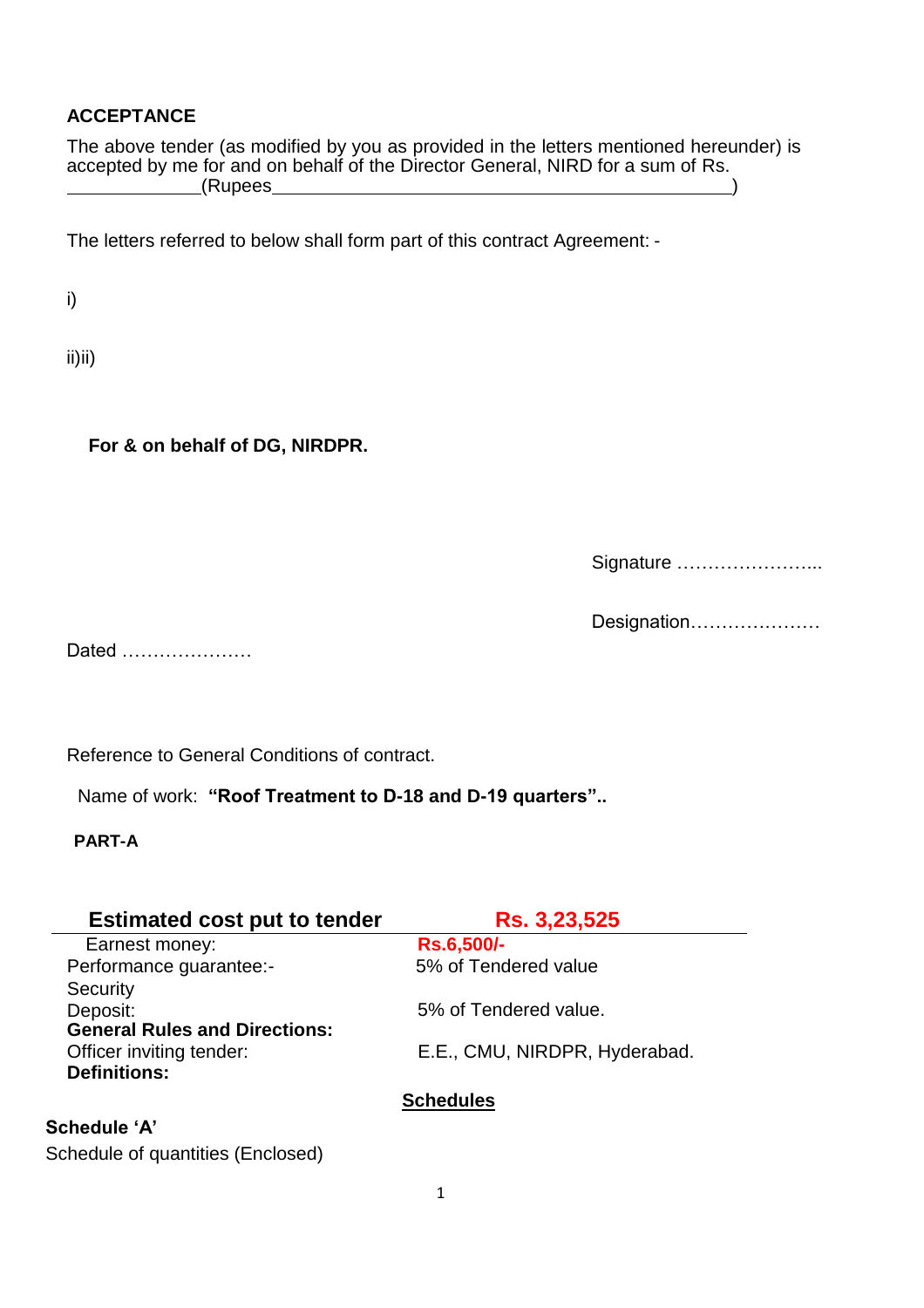## **ACCEPTANCE**

The above tender (as modified by you as provided in the letters mentioned hereunder) is accepted by me for and on behalf of the Director General, NIRD for a sum of Rs. <u>(Rupees</u> )

The letters referred to below shall form part of this contract Agreement: -

i)

ii)ii)

**For & on behalf of DG, NIRDPR.**

Signature …………………...

Designation…………………

Dated …………………

Reference to General Conditions of contract.

Name of work: **"Roof Treatment to D-18 and D-19 quarters"..**

**PART-A**

| <b>Estimated cost put to tender</b>  | Rs. 3,23,525                  |
|--------------------------------------|-------------------------------|
| Earnest money:                       | <b>Rs.6,500/-</b>             |
| Performance guarantee:-              | 5% of Tendered value          |
| Security                             |                               |
| Deposit:                             | 5% of Tendered value.         |
| <b>General Rules and Directions:</b> |                               |
| Officer inviting tender:             | E.E., CMU, NIRDPR, Hyderabad. |
| <b>Definitions:</b>                  |                               |
|                                      | <b>Schedules</b>              |
| <b>Schedule 'A'</b>                  |                               |

Schedule of quantities (Enclosed)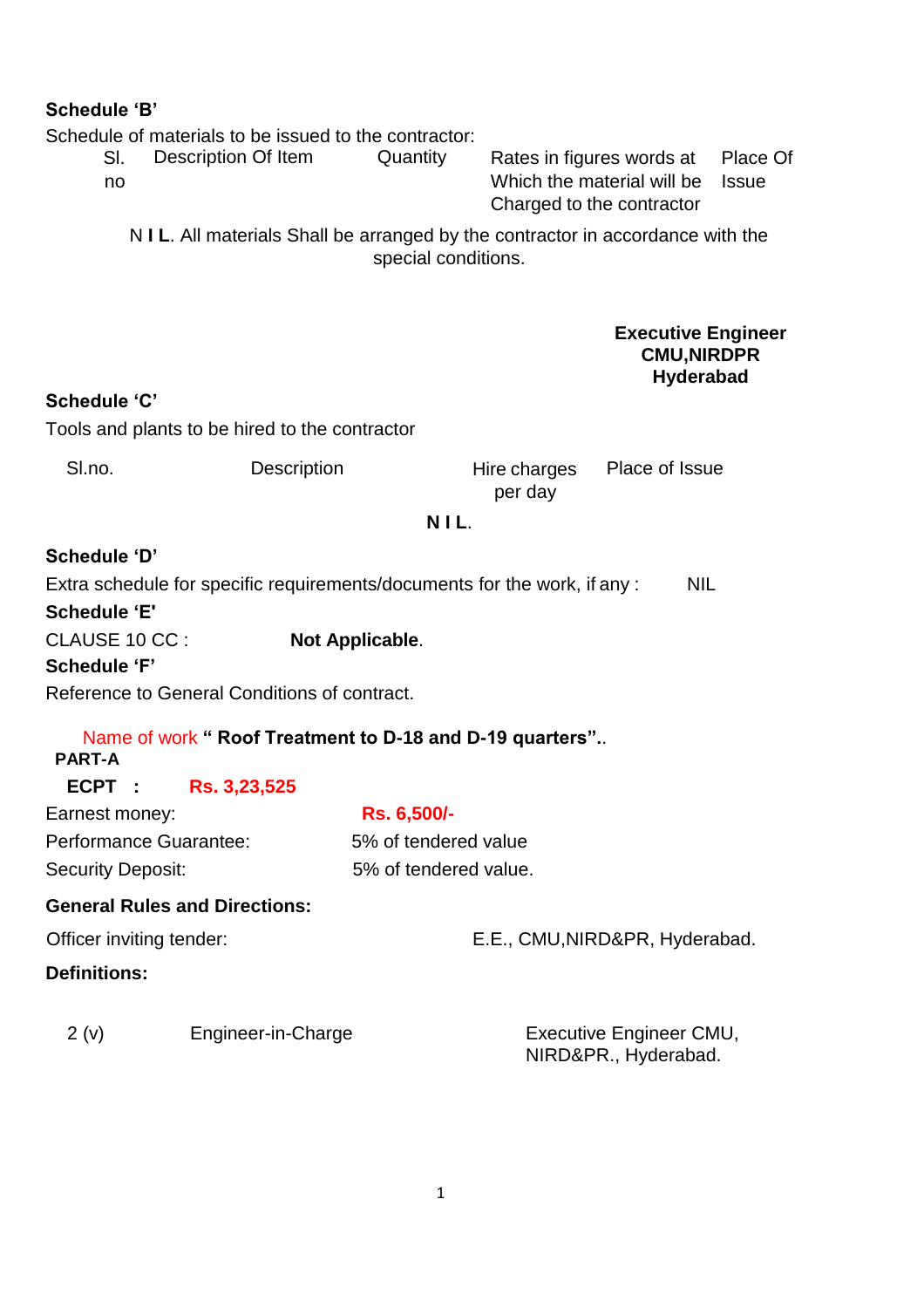## **Schedule 'B'**

Schedule of materials to be issued to the contractor: Sl. no Description Of Item Quantity Rates in figures words at

Which the material will be Issue Charged to the contractor Place Of

N **I L**. All materials Shall be arranged by the contractor in accordance with the special conditions.

## **Executive Engineer CMU,NIRDPR Hyderabad**

## **Schedule 'C'**

Tools and plants to be hired to the contractor

| Sl.no. | <b>Description</b> |         | Hire charges Place of Issue |
|--------|--------------------|---------|-----------------------------|
|        |                    | per day |                             |

## **N I L**.

**Schedule 'D'** Extra schedule for specific requirements/documents for the work, if any : NIL **Schedule 'E'** CLAUSE 10 CC : **Not Applicable**. **Schedule 'F'**

Reference to General Conditions of contract.

# Name of work **" Roof Treatment to D-18 and D-19 quarters".**. **PART-A ECPT : Rs. 3,23,525** Earnest money: **Rs. 6,500/-** Performance Guarantee: 5% of tendered value Security Deposit: 5% of tendered value. **General Rules and Directions:**

Officer inviting tender: E.E., CMU, NIRD&PR, Hyderabad. **Definitions:**

2 (v) Engineer-in-Charge Executive Engineer CMU,

NIRD&PR., Hyderabad.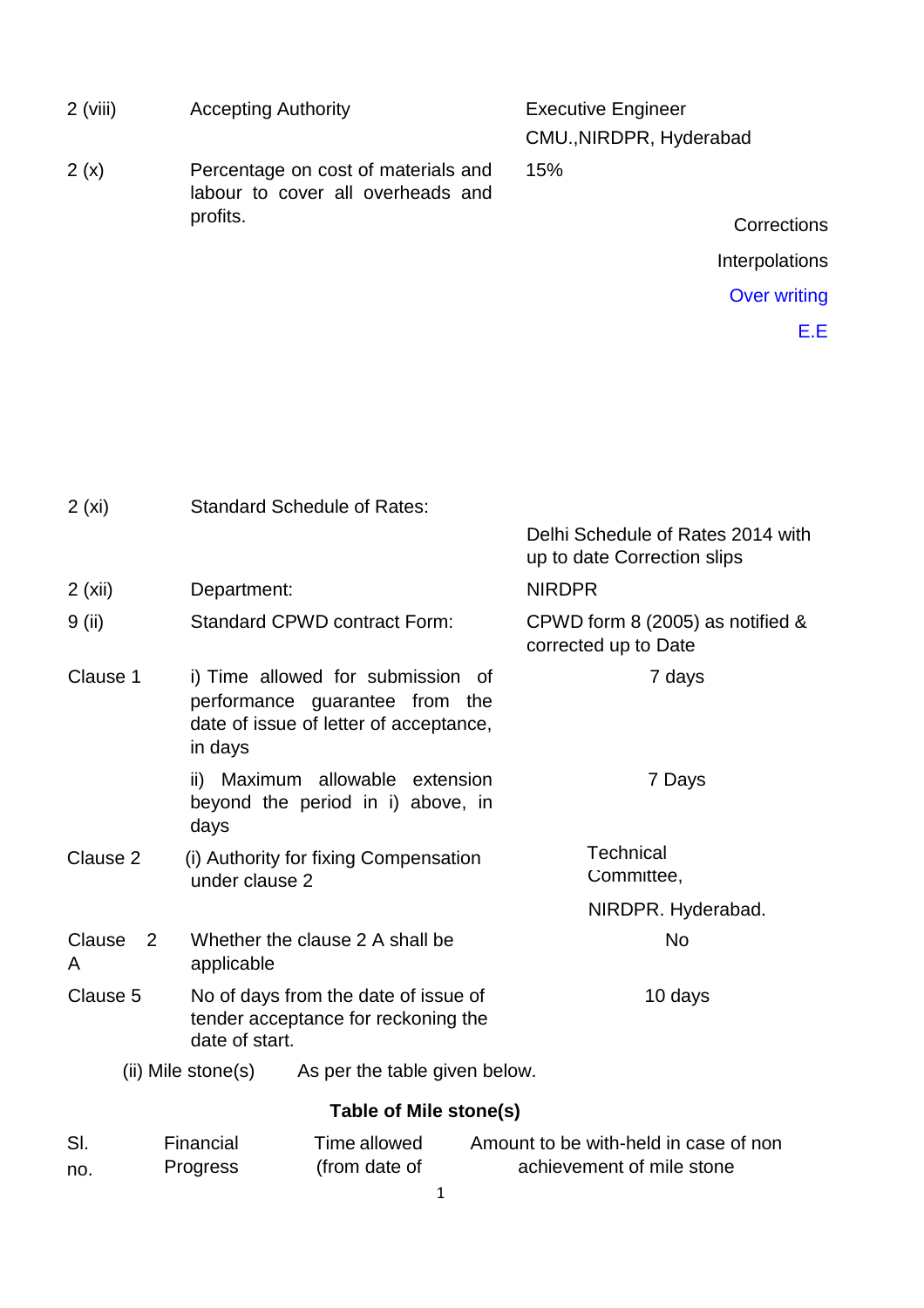| <b>Accepting Authority</b><br>$2$ (viii) |                                                                                                                          | <b>Executive Engineer</b><br>CMU., NIRDPR, Hyderabad               |
|------------------------------------------|--------------------------------------------------------------------------------------------------------------------------|--------------------------------------------------------------------|
| 2(x)                                     | Percentage on cost of materials and<br>labour to cover all overheads and                                                 | 15%                                                                |
|                                          | profits.                                                                                                                 | Corrections                                                        |
|                                          |                                                                                                                          | Interpolations                                                     |
|                                          |                                                                                                                          | <b>Over writing</b>                                                |
|                                          |                                                                                                                          | E.E                                                                |
|                                          |                                                                                                                          |                                                                    |
| 2(xi)                                    | <b>Standard Schedule of Rates:</b>                                                                                       |                                                                    |
|                                          |                                                                                                                          | Delhi Schedule of Rates 2014 with<br>up to date Correction slips   |
| 2(xii)                                   | Department:                                                                                                              | <b>NIRDPR</b>                                                      |
| 9 (ii)                                   | Standard CPWD contract Form:                                                                                             | CPWD form 8 (2005) as notified &<br>corrected up to Date           |
| Clause 1                                 | i) Time allowed for submission of<br>performance guarantee from the<br>date of issue of letter of acceptance,<br>in days | 7 days                                                             |
|                                          | ii) Maximum allowable extension<br>beyond the period in i) above, in<br>days                                             | 7 Days                                                             |
| Clause 2                                 | (i) Authority for fixing Compensation<br>under clause 2                                                                  | <b>Technical</b><br>Committee,                                     |
|                                          |                                                                                                                          | NIRDPR. Hyderabad.                                                 |
| Clause<br>$\overline{2}$<br>A            | Whether the clause 2 A shall be<br>applicable                                                                            | No                                                                 |
| Clause 5                                 | No of days from the date of issue of<br>tender acceptance for reckoning the<br>date of start.                            | 10 days                                                            |
|                                          | (ii) Mile stone(s)<br>As per the table given below.                                                                      |                                                                    |
|                                          | Table of Mile stone(s)                                                                                                   |                                                                    |
| SI.<br>no.                               | Financial<br>Time allowed<br>(from date of<br>Progress                                                                   | Amount to be with-held in case of non<br>achievement of mile stone |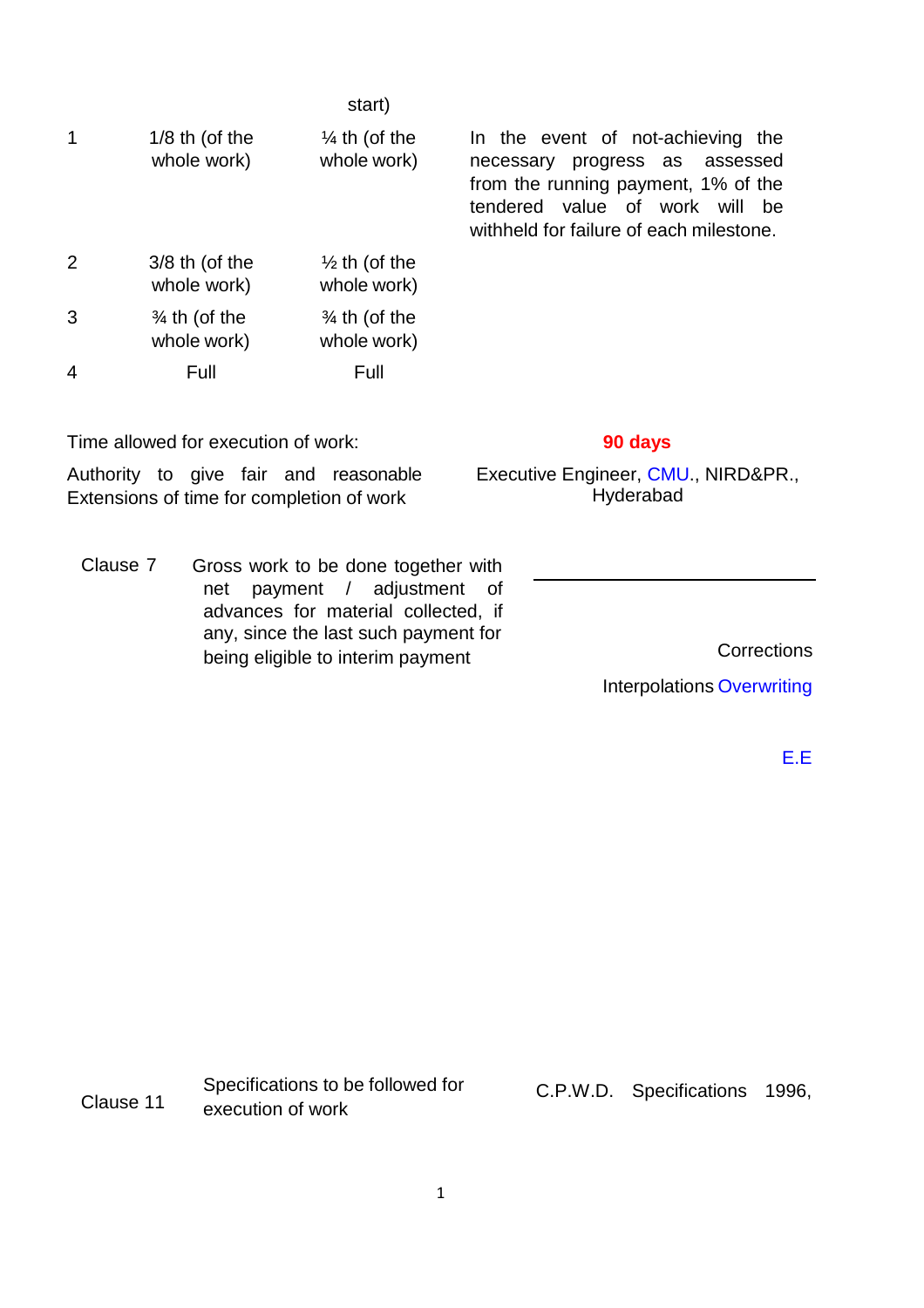|   |                                         | start)                                  |                                                                                                                                                                                            |
|---|-----------------------------------------|-----------------------------------------|--------------------------------------------------------------------------------------------------------------------------------------------------------------------------------------------|
| 1 | $1/8$ th (of the<br>whole work)         | $\frac{1}{4}$ th (of the<br>whole work) | In the event of not-achieving the<br>necessary progress as assessed<br>from the running payment, 1% of the<br>tendered value of work will<br>be<br>withheld for failure of each milestone. |
| 2 | $3/8$ th (of the<br>whole work)         | $\frac{1}{2}$ th (of the<br>whole work) |                                                                                                                                                                                            |
| 3 | $\frac{3}{4}$ th (of the<br>whole work) | $\frac{3}{4}$ th (of the<br>whole work) |                                                                                                                                                                                            |
| 4 | Full                                    | Full                                    |                                                                                                                                                                                            |
|   |                                         |                                         |                                                                                                                                                                                            |

Time allowed for execution of work: **90 days**

Authority to give fair and reasonable Extensions of time for completion of work

Clause 7 Gross work to be done together with net payment / adjustment of advances for material collected, if any, since the last such payment for being eligible to interim payment Corrections

Executive Engineer, CMU., NIRD&PR., **Hyderabad** 

Interpolations Overwriting

E.E

|           | Specifications to be followed for | C.P.W.D. Specifications 1996, |  |
|-----------|-----------------------------------|-------------------------------|--|
| Clause 11 | execution of work                 |                               |  |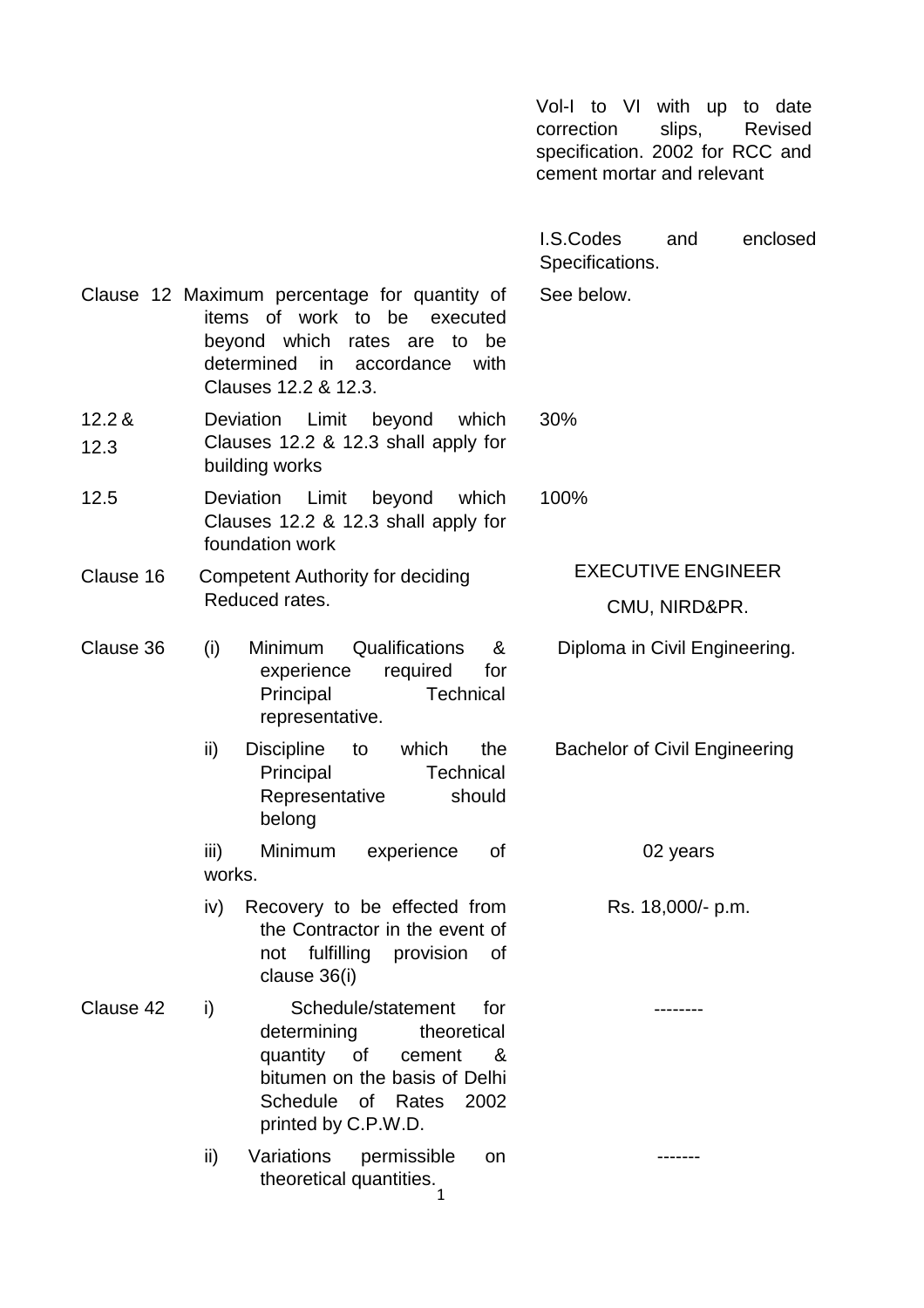Vol-I to VI with up to date correction slips, Revised specification. 2002 for RCC and cement mortar and relevant

I.S.Codes and enclosed Specifications.

See below.

Clause 12 Maximum percentage for quantity of items of work to be executed beyond which rates are to be determined in accordance with Clauses 12.2 & 12.3.

- 12.2 & 12.3 Deviation Limit beyond which Clauses 12.2 & 12.3 shall apply for building works 30%
- 12.5 Deviation Limit beyond which Clauses 12.2 & 12.3 shall apply for foundation work
- Clause 16 Competent Authority for deciding Reduced rates.

- Clause 36 (i) Minimum Qualifications & experience required for Principal Technical representative.
	- ii) Discipline to which the Principal Technical Representative should belong

iii) Minimum experience of works.

iv) Recovery to be effected from the Contractor in the event of not fulfilling provision of clause 36(i)

Clause 42 i) Schedule/statement for determining theoretical quantity of cement & bitumen on the basis of Delhi Schedule of Rates 2002 printed by C.P.W.D.

> ii) Variations permissible on theoretical quantities.

100%

EXECUTIVE ENGINEER

CMU, NIRD&PR.

Diploma in Civil Engineering.

Bachelor of Civil Engineering

02 years

Rs. 18,000/- p.m.

--------

-------

1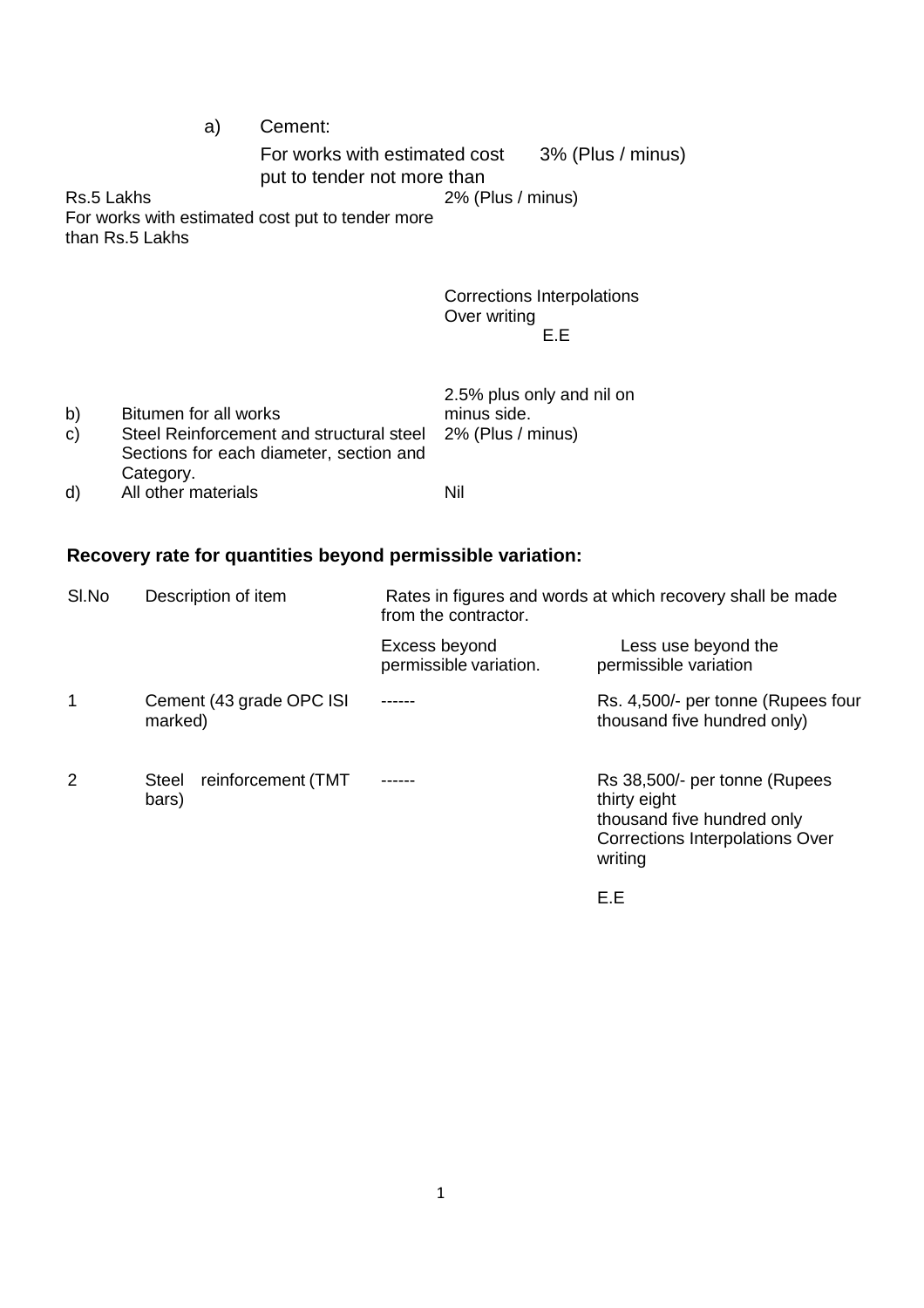a) Cement:

For works with estimated cost put to tender not more than 3% (Plus / minus)

2% (Plus / minus)

Rs.5 Lakhs For works with estimated cost put to tender more than Rs.5 Lakhs

> Corrections Interpolations Over writing E.E

|              |                                                            | 2.5% plus only and nil on |  |
|--------------|------------------------------------------------------------|---------------------------|--|
| b)           | Bitumen for all works                                      | minus side.               |  |
| $\mathsf{C}$ | Steel Reinforcement and structural steel 2% (Plus / minus) |                           |  |
|              | Sections for each diameter, section and                    |                           |  |
|              | Category.                                                  |                           |  |
| d)           | All other materials                                        | Nil                       |  |

## **Recovery rate for quantities beyond permissible variation:**

| SI.No | Description of item                  | Rates in figures and words at which recovery shall be made<br>from the contractor. |                                                                                                                           |
|-------|--------------------------------------|------------------------------------------------------------------------------------|---------------------------------------------------------------------------------------------------------------------------|
|       |                                      | Excess beyond<br>permissible variation.                                            | Less use beyond the<br>permissible variation                                                                              |
| 1     | Cement (43 grade OPC ISI)<br>marked) |                                                                                    | Rs. 4,500/- per tonne (Rupees four<br>thousand five hundred only)                                                         |
| 2     | reinforcement (TMT<br>Steel<br>bars) |                                                                                    | Rs 38,500/- per tonne (Rupees<br>thirty eight<br>thousand five hundred only<br>Corrections Interpolations Over<br>writing |
|       |                                      |                                                                                    | E.E                                                                                                                       |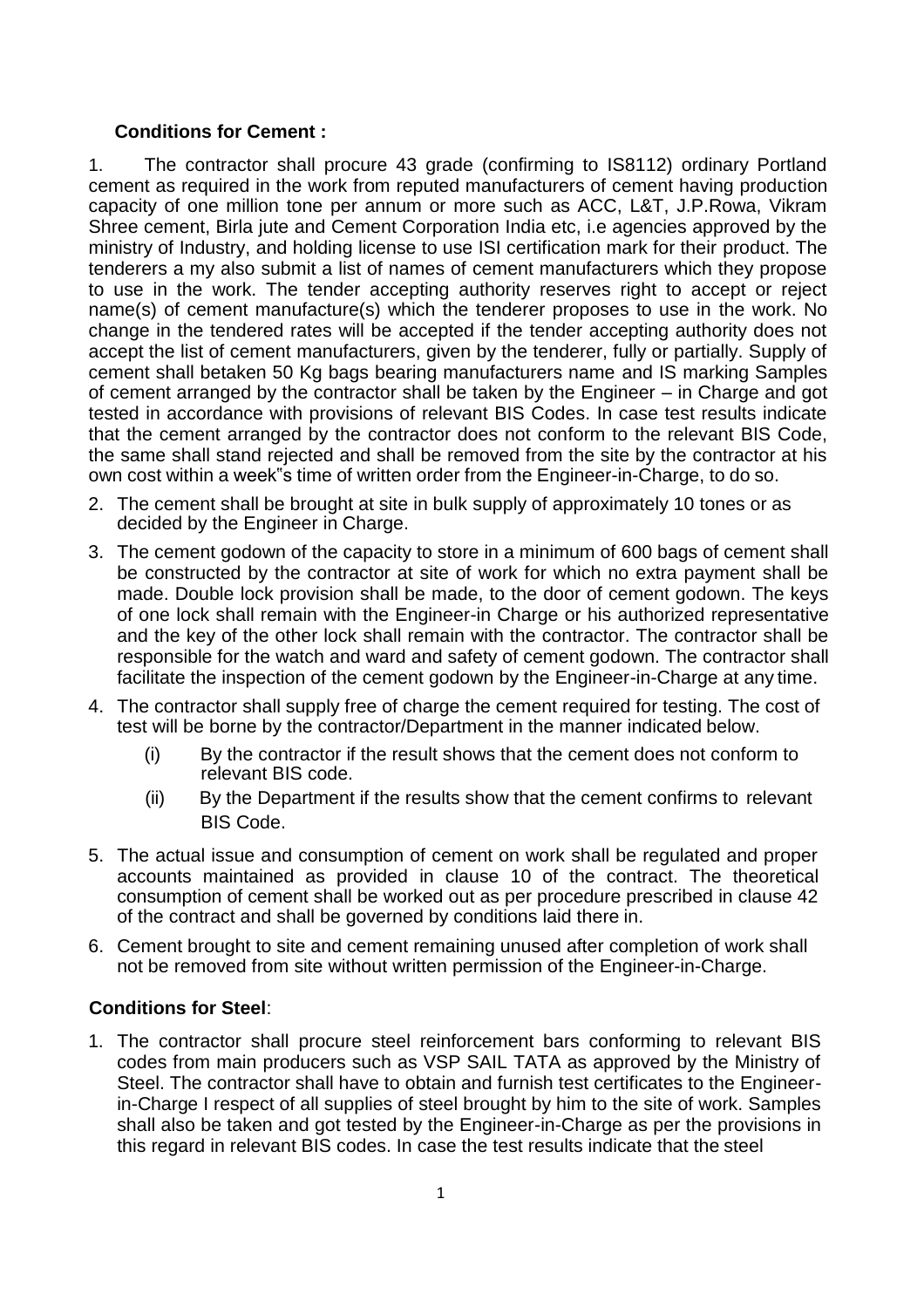### **Conditions for Cement :**

1. The contractor shall procure 43 grade (confirming to IS8112) ordinary Portland cement as required in the work from reputed manufacturers of cement having production capacity of one million tone per annum or more such as ACC, L&T, J.P.Rowa, Vikram Shree cement, Birla jute and Cement Corporation India etc, i.e agencies approved by the ministry of Industry, and holding license to use ISI certification mark for their product. The tenderers a my also submit a list of names of cement manufacturers which they propose to use in the work. The tender accepting authority reserves right to accept or reject name(s) of cement manufacture(s) which the tenderer proposes to use in the work. No change in the tendered rates will be accepted if the tender accepting authority does not accept the list of cement manufacturers, given by the tenderer, fully or partially. Supply of cement shall betaken 50 Kg bags bearing manufacturers name and IS marking Samples of cement arranged by the contractor shall be taken by the Engineer – in Charge and got tested in accordance with provisions of relevant BIS Codes. In case test results indicate that the cement arranged by the contractor does not conform to the relevant BIS Code, the same shall stand rejected and shall be removed from the site by the contractor at his own cost within a week"s time of written order from the Engineer-in-Charge, to do so.

- 2. The cement shall be brought at site in bulk supply of approximately 10 tones or as decided by the Engineer in Charge.
- 3. The cement godown of the capacity to store in a minimum of 600 bags of cement shall be constructed by the contractor at site of work for which no extra payment shall be made. Double lock provision shall be made, to the door of cement godown. The keys of one lock shall remain with the Engineer-in Charge or his authorized representative and the key of the other lock shall remain with the contractor. The contractor shall be responsible for the watch and ward and safety of cement godown. The contractor shall facilitate the inspection of the cement godown by the Engineer-in-Charge at any time.
- 4. The contractor shall supply free of charge the cement required for testing. The cost of test will be borne by the contractor/Department in the manner indicated below.
	- (i) By the contractor if the result shows that the cement does not conform to relevant BIS code.
	- (ii) By the Department if the results show that the cement confirms to relevant BIS Code.
- 5. The actual issue and consumption of cement on work shall be regulated and proper accounts maintained as provided in clause 10 of the contract. The theoretical consumption of cement shall be worked out as per procedure prescribed in clause 42 of the contract and shall be governed by conditions laid there in.
- 6. Cement brought to site and cement remaining unused after completion of work shall not be removed from site without written permission of the Engineer-in-Charge.

## **Conditions for Steel**:

1. The contractor shall procure steel reinforcement bars conforming to relevant BIS codes from main producers such as VSP SAIL TATA as approved by the Ministry of Steel. The contractor shall have to obtain and furnish test certificates to the Engineerin-Charge I respect of all supplies of steel brought by him to the site of work. Samples shall also be taken and got tested by the Engineer-in-Charge as per the provisions in this regard in relevant BIS codes. In case the test results indicate that the steel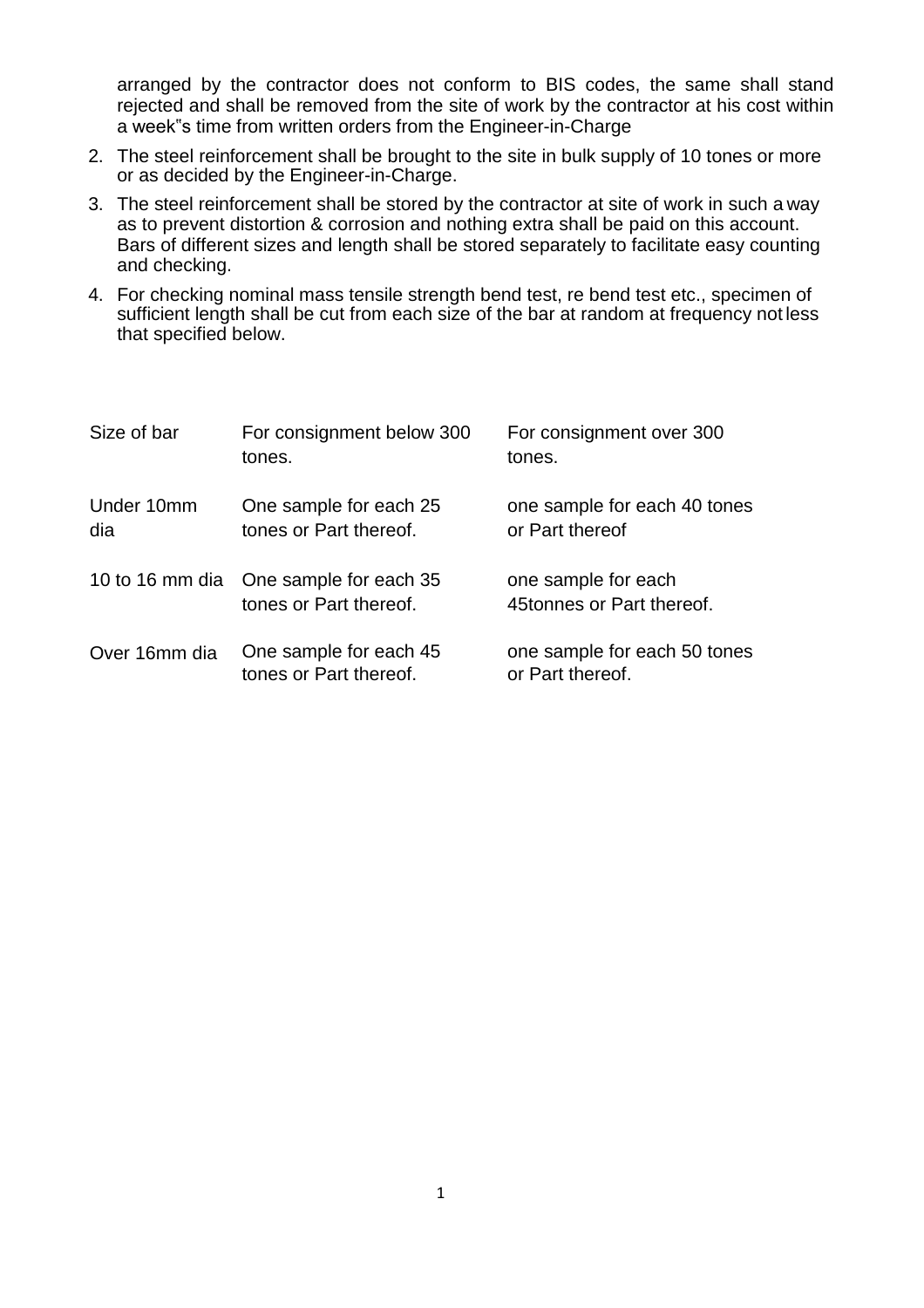arranged by the contractor does not conform to BIS codes, the same shall stand rejected and shall be removed from the site of work by the contractor at his cost within a week"s time from written orders from the Engineer-in-Charge

- 2. The steel reinforcement shall be brought to the site in bulk supply of 10 tones or more or as decided by the Engineer-in-Charge.
- 3. The steel reinforcement shall be stored by the contractor at site of work in such a way as to prevent distortion & corrosion and nothing extra shall be paid on this account. Bars of different sizes and length shall be stored separately to facilitate easy counting and checking.
- 4. For checking nominal mass tensile strength bend test, re bend test etc., specimen of sufficient length shall be cut from each size of the bar at random at frequency not less that specified below.

| Size of bar       | For consignment below 300<br>tones.                              | For consignment over 300<br>tones.               |
|-------------------|------------------------------------------------------------------|--------------------------------------------------|
| Under 10mm<br>dia | One sample for each 25<br>tones or Part thereof.                 | one sample for each 40 tones<br>or Part thereof  |
|                   | 10 to 16 mm dia One sample for each 35<br>tones or Part thereof. | one sample for each<br>45tonnes or Part thereof. |
| Over 16mm dia     | One sample for each 45<br>tones or Part thereof.                 | one sample for each 50 tones<br>or Part thereof. |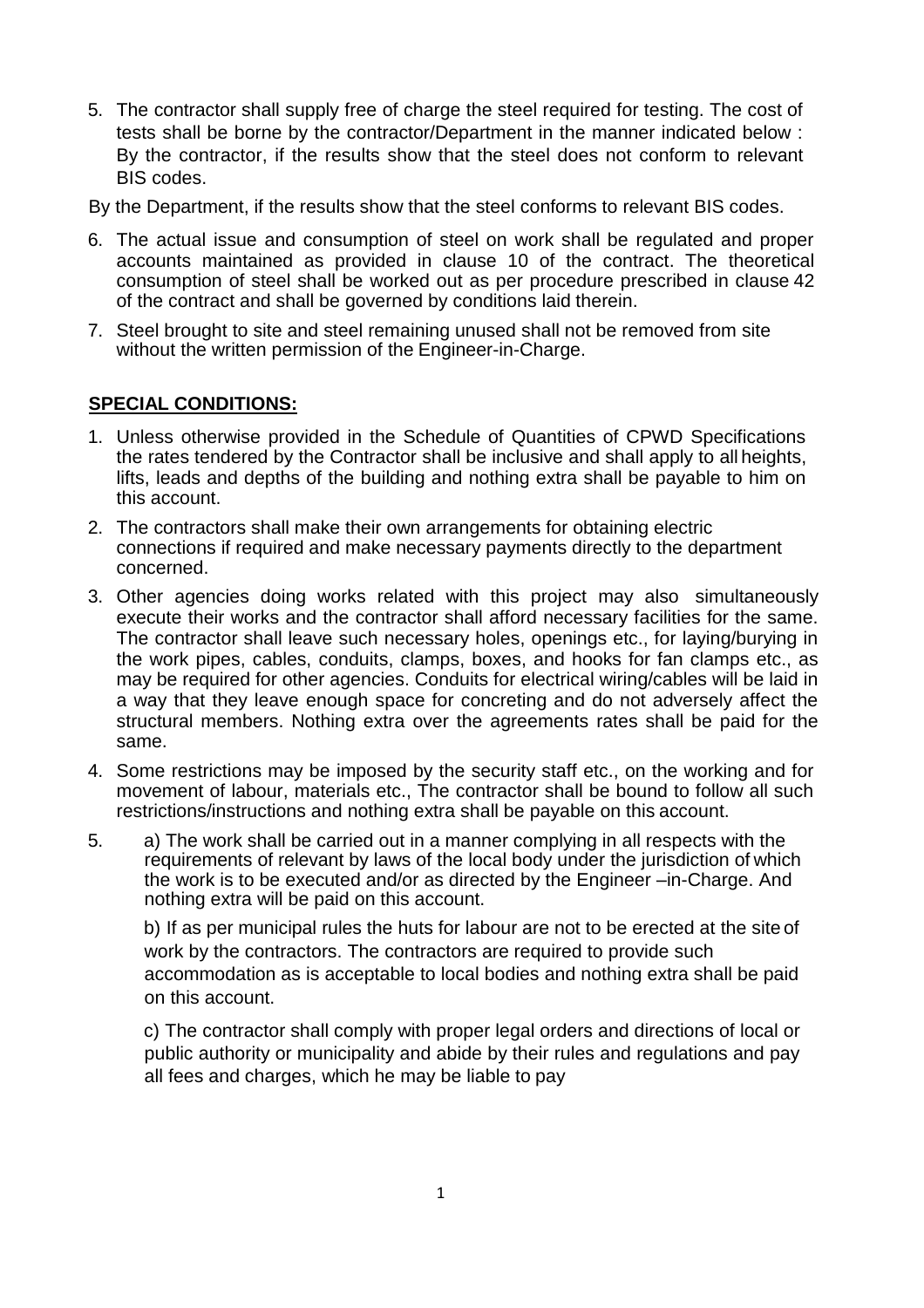5. The contractor shall supply free of charge the steel required for testing. The cost of tests shall be borne by the contractor/Department in the manner indicated below : By the contractor, if the results show that the steel does not conform to relevant BIS codes.

By the Department, if the results show that the steel conforms to relevant BIS codes.

- 6. The actual issue and consumption of steel on work shall be regulated and proper accounts maintained as provided in clause 10 of the contract. The theoretical consumption of steel shall be worked out as per procedure prescribed in clause 42 of the contract and shall be governed by conditions laid therein.
- 7. Steel brought to site and steel remaining unused shall not be removed from site without the written permission of the Engineer-in-Charge.

## **SPECIAL CONDITIONS:**

- 1. Unless otherwise provided in the Schedule of Quantities of CPWD Specifications the rates tendered by the Contractor shall be inclusive and shall apply to all heights, lifts, leads and depths of the building and nothing extra shall be payable to him on this account.
- 2. The contractors shall make their own arrangements for obtaining electric connections if required and make necessary payments directly to the department concerned.
- 3. Other agencies doing works related with this project may also simultaneously execute their works and the contractor shall afford necessary facilities for the same. The contractor shall leave such necessary holes, openings etc., for laying/burying in the work pipes, cables, conduits, clamps, boxes, and hooks for fan clamps etc., as may be required for other agencies. Conduits for electrical wiring/cables will be laid in a way that they leave enough space for concreting and do not adversely affect the structural members. Nothing extra over the agreements rates shall be paid for the same.
- 4. Some restrictions may be imposed by the security staff etc., on the working and for movement of labour, materials etc., The contractor shall be bound to follow all such restrictions/instructions and nothing extra shall be payable on this account.
- 5. a) The work shall be carried out in a manner complying in all respects with the requirements of relevant by laws of the local body under the jurisdiction of which the work is to be executed and/or as directed by the Engineer –in-Charge. And nothing extra will be paid on this account.

b) If as per municipal rules the huts for labour are not to be erected at the site of work by the contractors. The contractors are required to provide such accommodation as is acceptable to local bodies and nothing extra shall be paid on this account.

c) The contractor shall comply with proper legal orders and directions of local or public authority or municipality and abide by their rules and regulations and pay all fees and charges, which he may be liable to pay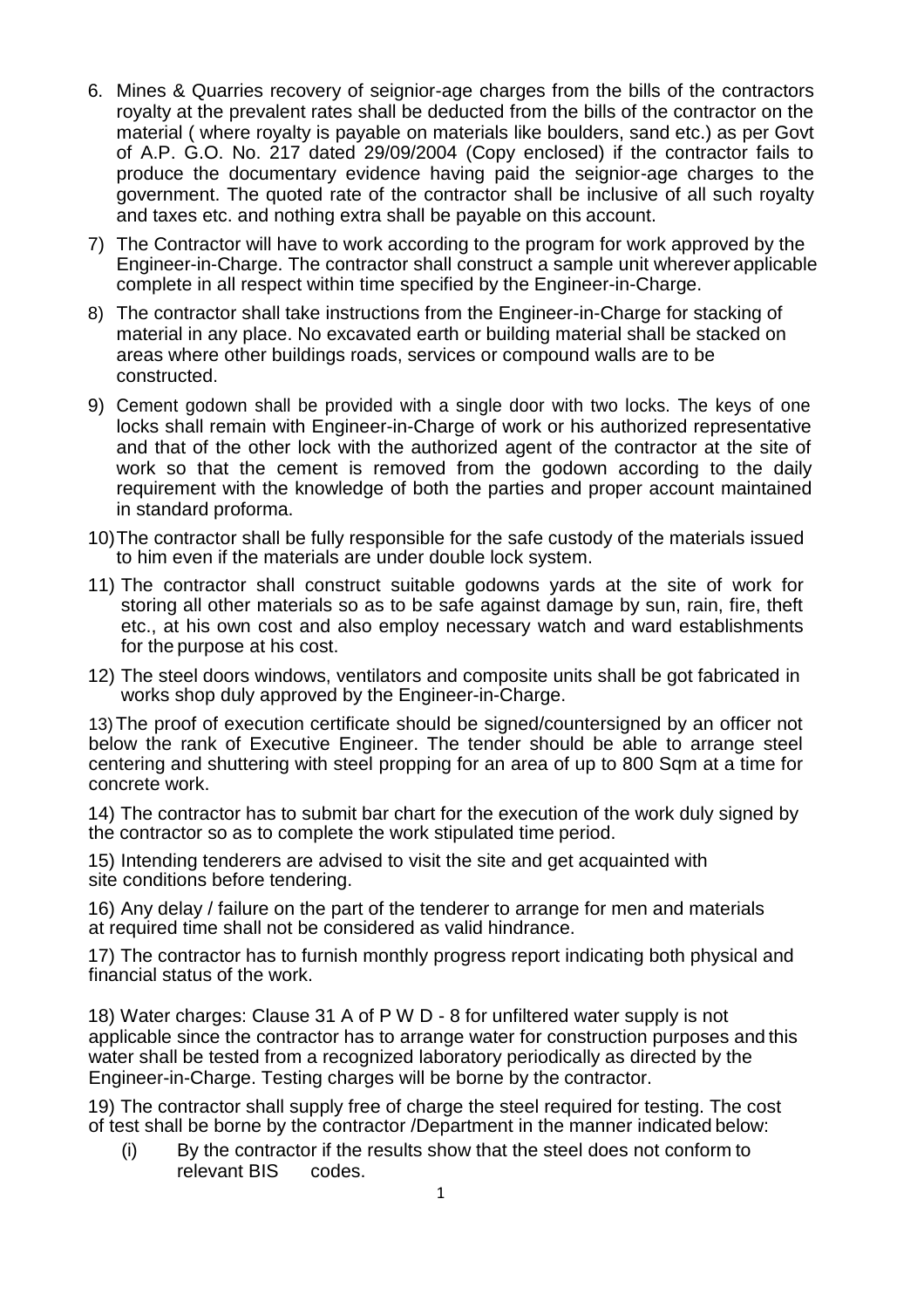- 6. Mines & Quarries recovery of seignior-age charges from the bills of the contractors royalty at the prevalent rates shall be deducted from the bills of the contractor on the material ( where royalty is payable on materials like boulders, sand etc.) as per Govt of A.P. G.O. No. 217 dated 29/09/2004 (Copy enclosed) if the contractor fails to produce the documentary evidence having paid the seignior-age charges to the government. The quoted rate of the contractor shall be inclusive of all such royalty and taxes etc. and nothing extra shall be payable on this account.
- 7) The Contractor will have to work according to the program for work approved by the Engineer-in-Charge. The contractor shall construct a sample unit wherever applicable complete in all respect within time specified by the Engineer-in-Charge.
- 8) The contractor shall take instructions from the Engineer-in-Charge for stacking of material in any place. No excavated earth or building material shall be stacked on areas where other buildings roads, services or compound walls are to be constructed.
- 9) Cement godown shall be provided with a single door with two locks. The keys of one locks shall remain with Engineer-in-Charge of work or his authorized representative and that of the other lock with the authorized agent of the contractor at the site of work so that the cement is removed from the godown according to the daily requirement with the knowledge of both the parties and proper account maintained in standard proforma.
- 10)The contractor shall be fully responsible for the safe custody of the materials issued to him even if the materials are under double lock system.
- 11) The contractor shall construct suitable godowns yards at the site of work for storing all other materials so as to be safe against damage by sun, rain, fire, theft etc., at his own cost and also employ necessary watch and ward establishments for the purpose at his cost.
- 12) The steel doors windows, ventilators and composite units shall be got fabricated in works shop duly approved by the Engineer-in-Charge.

13)The proof of execution certificate should be signed/countersigned by an officer not below the rank of Executive Engineer. The tender should be able to arrange steel centering and shuttering with steel propping for an area of up to 800 Sqm at a time for concrete work.

14) The contractor has to submit bar chart for the execution of the work duly signed by the contractor so as to complete the work stipulated time period.

15) Intending tenderers are advised to visit the site and get acquainted with site conditions before tendering.

16) Any delay / failure on the part of the tenderer to arrange for men and materials at required time shall not be considered as valid hindrance.

17) The contractor has to furnish monthly progress report indicating both physical and financial status of the work.

18) Water charges: Clause 31 A of P W D - 8 for unfiltered water supply is not applicable since the contractor has to arrange water for construction purposes and this water shall be tested from a recognized laboratory periodically as directed by the Engineer-in-Charge. Testing charges will be borne by the contractor.

19) The contractor shall supply free of charge the steel required for testing. The cost of test shall be borne by the contractor /Department in the manner indicated below:

(i) By the contractor if the results show that the steel does not conform to relevant BIS codes.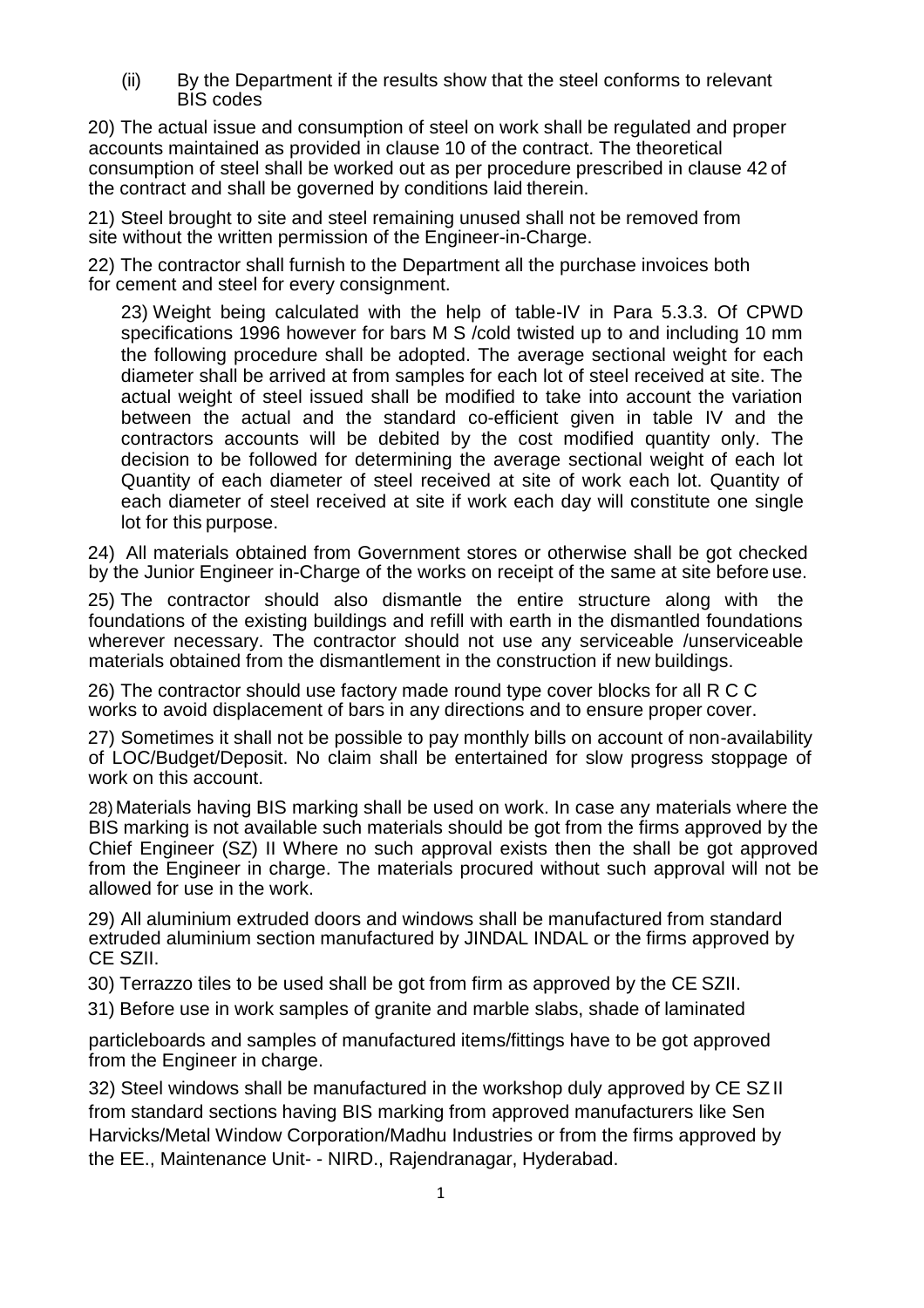(ii) By the Department if the results show that the steel conforms to relevant BIS codes

20) The actual issue and consumption of steel on work shall be regulated and proper accounts maintained as provided in clause 10 of the contract. The theoretical consumption of steel shall be worked out as per procedure prescribed in clause 42 of the contract and shall be governed by conditions laid therein.

21) Steel brought to site and steel remaining unused shall not be removed from site without the written permission of the Engineer-in-Charge.

22) The contractor shall furnish to the Department all the purchase invoices both for cement and steel for every consignment.

23) Weight being calculated with the help of table-IV in Para 5.3.3. Of CPWD specifications 1996 however for bars M S /cold twisted up to and including 10 mm the following procedure shall be adopted. The average sectional weight for each diameter shall be arrived at from samples for each lot of steel received at site. The actual weight of steel issued shall be modified to take into account the variation between the actual and the standard co-efficient given in table IV and the contractors accounts will be debited by the cost modified quantity only. The decision to be followed for determining the average sectional weight of each lot Quantity of each diameter of steel received at site of work each lot. Quantity of each diameter of steel received at site if work each day will constitute one single lot for this purpose.

24) All materials obtained from Government stores or otherwise shall be got checked by the Junior Engineer in-Charge of the works on receipt of the same at site before use.

25) The contractor should also dismantle the entire structure along with the foundations of the existing buildings and refill with earth in the dismantled foundations wherever necessary. The contractor should not use any serviceable /unserviceable materials obtained from the dismantlement in the construction if new buildings.

26) The contractor should use factory made round type cover blocks for all R C C works to avoid displacement of bars in any directions and to ensure proper cover.

27) Sometimes it shall not be possible to pay monthly bills on account of non-availability of LOC/Budget/Deposit. No claim shall be entertained for slow progress stoppage of work on this account.

28)Materials having BIS marking shall be used on work. In case any materials where the BIS marking is not available such materials should be got from the firms approved by the Chief Engineer (SZ) II Where no such approval exists then the shall be got approved from the Engineer in charge. The materials procured without such approval will not be allowed for use in the work.

29) All aluminium extruded doors and windows shall be manufactured from standard extruded aluminium section manufactured by JINDAL INDAL or the firms approved by CE SZII.

30) Terrazzo tiles to be used shall be got from firm as approved by the CE SZII.

31) Before use in work samples of granite and marble slabs, shade of laminated

particleboards and samples of manufactured items/fittings have to be got approved from the Engineer in charge.

32) Steel windows shall be manufactured in the workshop duly approved by CE SZ II from standard sections having BIS marking from approved manufacturers like Sen Harvicks/Metal Window Corporation/Madhu Industries or from the firms approved by the EE., Maintenance Unit- - NIRD., Rajendranagar, Hyderabad.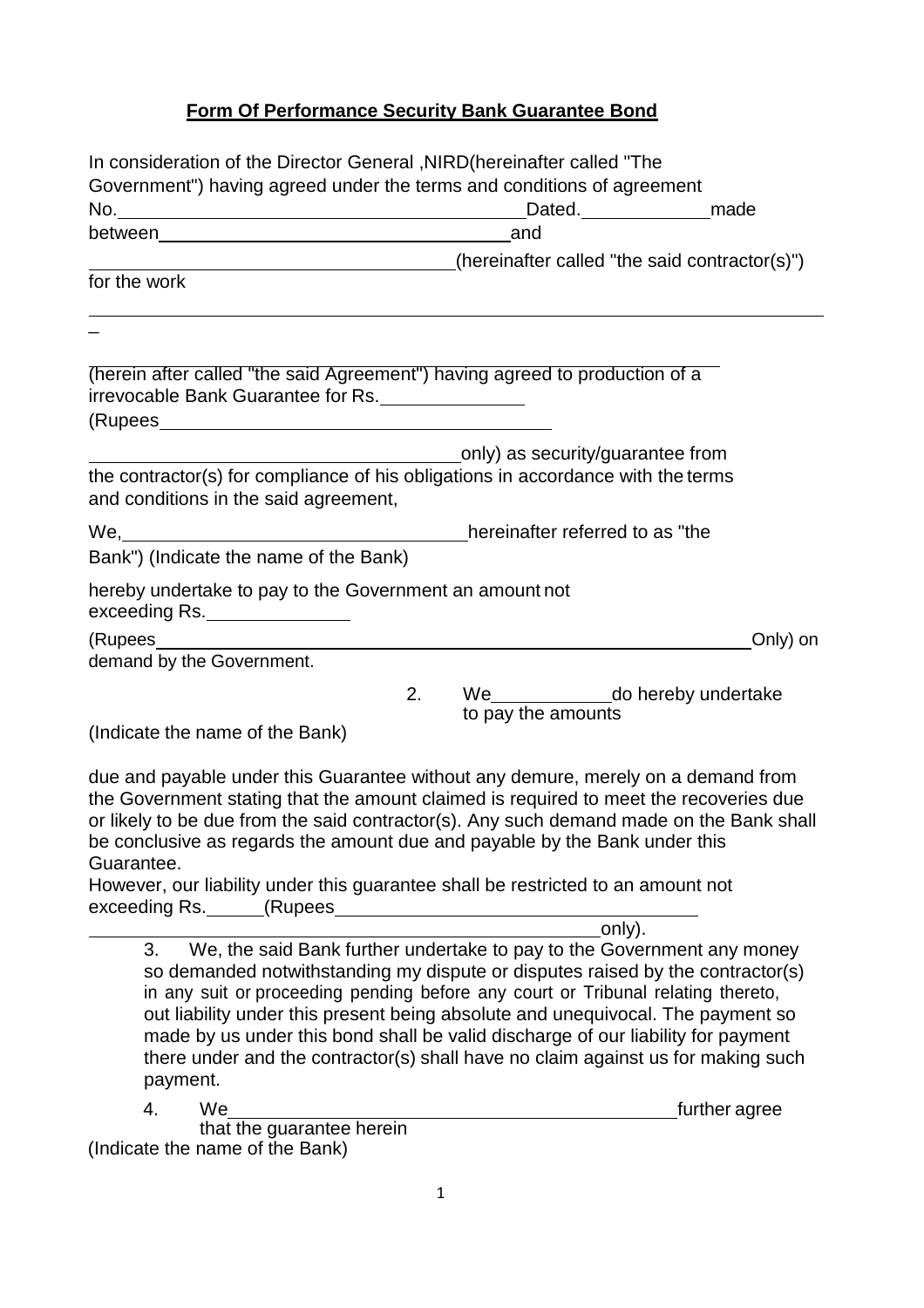## **Form Of Performance Security Bank Guarantee Bond**

| In consideration of the Director General, NIRD (hereinafter called "The                                                                                                      |                                                                                                                                                                                                                                                                      |
|------------------------------------------------------------------------------------------------------------------------------------------------------------------------------|----------------------------------------------------------------------------------------------------------------------------------------------------------------------------------------------------------------------------------------------------------------------|
| Government") having agreed under the terms and conditions of agreement                                                                                                       |                                                                                                                                                                                                                                                                      |
|                                                                                                                                                                              | Dated. made                                                                                                                                                                                                                                                          |
|                                                                                                                                                                              | and                                                                                                                                                                                                                                                                  |
|                                                                                                                                                                              | (hereinafter called "the said contractor(s)")                                                                                                                                                                                                                        |
| for the work                                                                                                                                                                 |                                                                                                                                                                                                                                                                      |
|                                                                                                                                                                              |                                                                                                                                                                                                                                                                      |
| (herein after called "the said Agreement") having agreed to production of a                                                                                                  |                                                                                                                                                                                                                                                                      |
| irrevocable Bank Guarantee for Rs.                                                                                                                                           |                                                                                                                                                                                                                                                                      |
|                                                                                                                                                                              |                                                                                                                                                                                                                                                                      |
|                                                                                                                                                                              | only) as security/guarantee from                                                                                                                                                                                                                                     |
| the contractor(s) for compliance of his obligations in accordance with the terms                                                                                             |                                                                                                                                                                                                                                                                      |
| and conditions in the said agreement,                                                                                                                                        |                                                                                                                                                                                                                                                                      |
| We, Messenborrow Messenborrow Mereinafter referred to as "the                                                                                                                |                                                                                                                                                                                                                                                                      |
| Bank") (Indicate the name of the Bank)                                                                                                                                       |                                                                                                                                                                                                                                                                      |
| hereby undertake to pay to the Government an amount not<br>exceeding Rs.                                                                                                     |                                                                                                                                                                                                                                                                      |
|                                                                                                                                                                              | Only) on                                                                                                                                                                                                                                                             |
| demand by the Government.                                                                                                                                                    |                                                                                                                                                                                                                                                                      |
| 2.                                                                                                                                                                           | We_________________do hereby undertake<br>to pay the amounts                                                                                                                                                                                                         |
| (Indicate the name of the Bank)                                                                                                                                              |                                                                                                                                                                                                                                                                      |
| be conclusive as regards the amount due and payable by the Bank under this<br>Guarantee.<br>However, our liability under this guarantee shall be restricted to an amount not | due and payable under this Guarantee without any demure, merely on a demand from<br>the Government stating that the amount claimed is required to meet the recoveries due<br>or likely to be due from the said contractor(s). Any such demand made on the Bank shall |
|                                                                                                                                                                              | only).                                                                                                                                                                                                                                                               |
| 3.                                                                                                                                                                           | We, the said Bank further undertake to pay to the Government any money<br>so demanded notwithstanding my dispute or disputes raised by the contractor(s)                                                                                                             |

so demanded notwithstanding my dispute or disputes raised by the contractor(s) in any suit or proceeding pending before any court or Tribunal relating thereto, out liability under this present being absolute and unequivocal. The payment so made by us under this bond shall be valid discharge of our liability for payment there under and the contractor(s) shall have no claim against us for making such payment.

4. We **further agree** 

that the guarantee herein (Indicate the name of the Bank)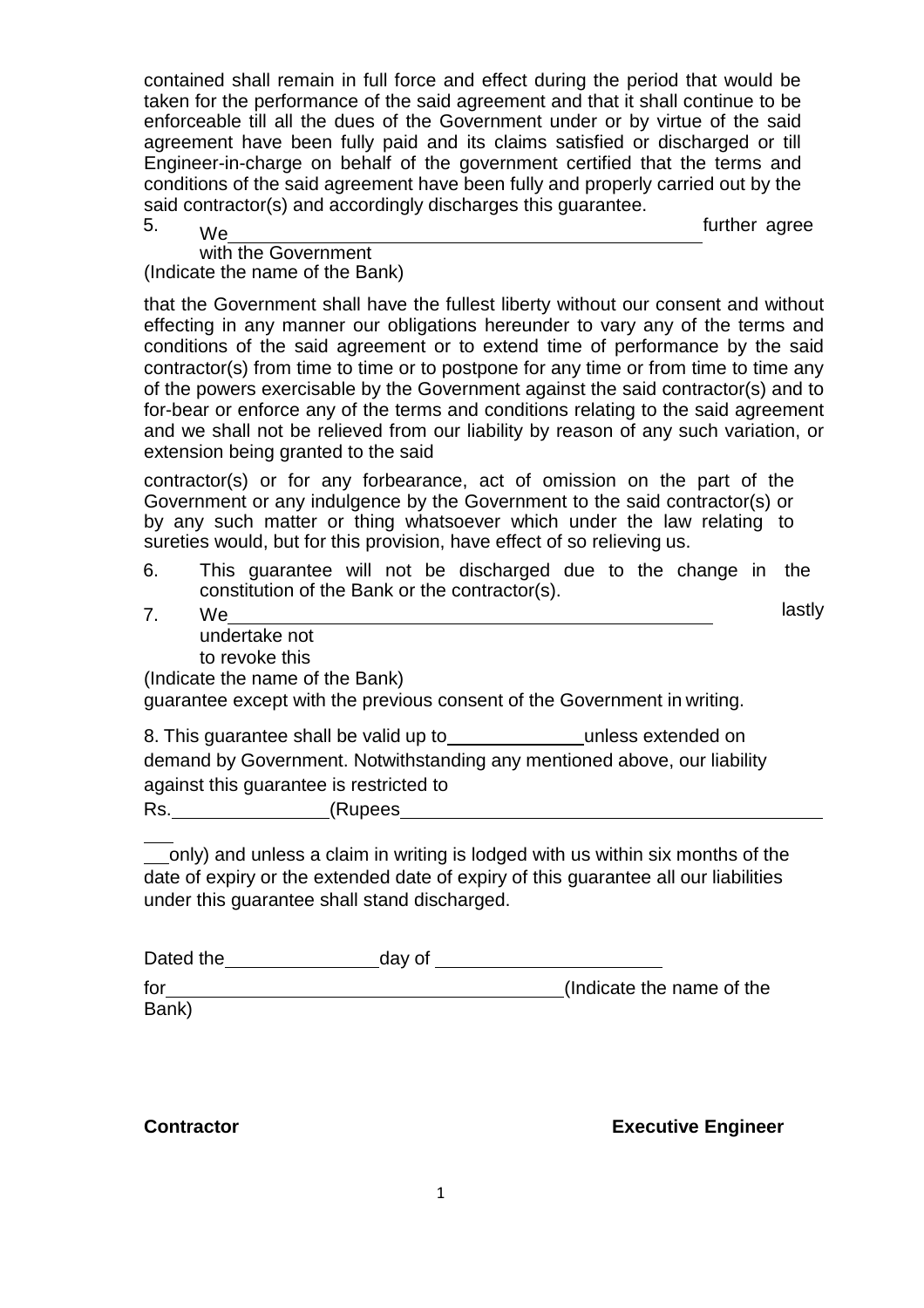contained shall remain in full force and effect during the period that would be taken for the performance of the said agreement and that it shall continue to be enforceable till all the dues of the Government under or by virtue of the said agreement have been fully paid and its claims satisfied or discharged or till Engineer-in-charge on behalf of the government certified that the terms and conditions of the said agreement have been fully and properly carried out by the said contractor(s) and accordingly discharges this guarantee.

5. We further agree

with the Government (Indicate the name of the Bank)

that the Government shall have the fullest liberty without our consent and without effecting in any manner our obligations hereunder to vary any of the terms and conditions of the said agreement or to extend time of performance by the said contractor(s) from time to time or to postpone for any time or from time to time any of the powers exercisable by the Government against the said contractor(s) and to for-bear or enforce any of the terms and conditions relating to the said agreement and we shall not be relieved from our liability by reason of any such variation, or extension being granted to the said

contractor(s) or for any forbearance, act of omission on the part of the Government or any indulgence by the Government to the said contractor(s) or by any such matter or thing whatsoever which under the law relating to sureties would, but for this provision, have effect of so relieving us.

- 6. This guarantee will not be discharged due to the change in the constitution of the Bank or the contractor(s).
- 7. We undertake not to revoke this (Indicate the name of the Bank) lastly

guarantee except with the previous consent of the Government in writing.

8. This quarantee shall be valid up to unless extended on demand by Government. Notwithstanding any mentioned above, our liability against this guarantee is restricted to Rs. (Rupees

only) and unless a claim in writing is lodged with us within six months of the date of expiry or the extended date of expiry of this guarantee all our liabilities under this guarantee shall stand discharged.

| Dated the | day of |                           |
|-----------|--------|---------------------------|
| for       |        | (Indicate the name of the |
| Bank)     |        |                           |